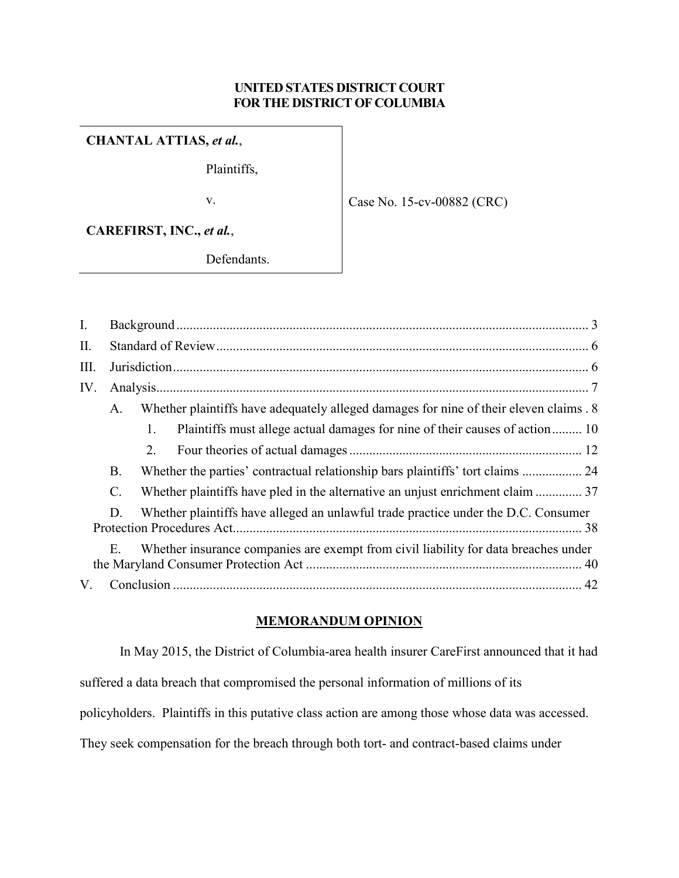# **UNITED STATES DISTRICT COURT FOR THE DISTRICT OF COLUMBIA**

# **CHANTAL ATTIAS,** *et al.*,

Plaintiffs,

v.

Case No. 15-cv-00882 (CRC)

**CAREFIRST, INC.,** *et al.*,

Defendants.

| $\mathbf{I}$ . |                |    |                                                                                       |  |
|----------------|----------------|----|---------------------------------------------------------------------------------------|--|
| II.            |                |    |                                                                                       |  |
| Ш.             |                |    |                                                                                       |  |
| IV.            |                |    |                                                                                       |  |
|                | A.             |    | Whether plaintiffs have adequately alleged damages for nine of their eleven claims. 8 |  |
|                |                | 1. | Plaintiffs must allege actual damages for nine of their causes of action 10           |  |
|                |                | 2. |                                                                                       |  |
|                | B.             |    | Whether the parties' contractual relationship bars plaintiffs' tort claims  24        |  |
|                | $\mathbf{C}$ . |    | Whether plaintiffs have pled in the alternative an unjust enrichment claim  37        |  |
|                | D.             |    | Whether plaintiffs have alleged an unlawful trade practice under the D.C. Consumer    |  |
|                | Ε.             |    | Whether insurance companies are exempt from civil liability for data breaches under   |  |
| V.             |                |    |                                                                                       |  |

## **MEMORANDUM OPINION**

In May 2015, the District of Columbia-area health insurer CareFirst announced that it had suffered a data breach that compromised the personal information of millions of its policyholders. Plaintiffs in this putative class action are among those whose data was accessed. They seek compensation for the breach through both tort- and contract-based claims under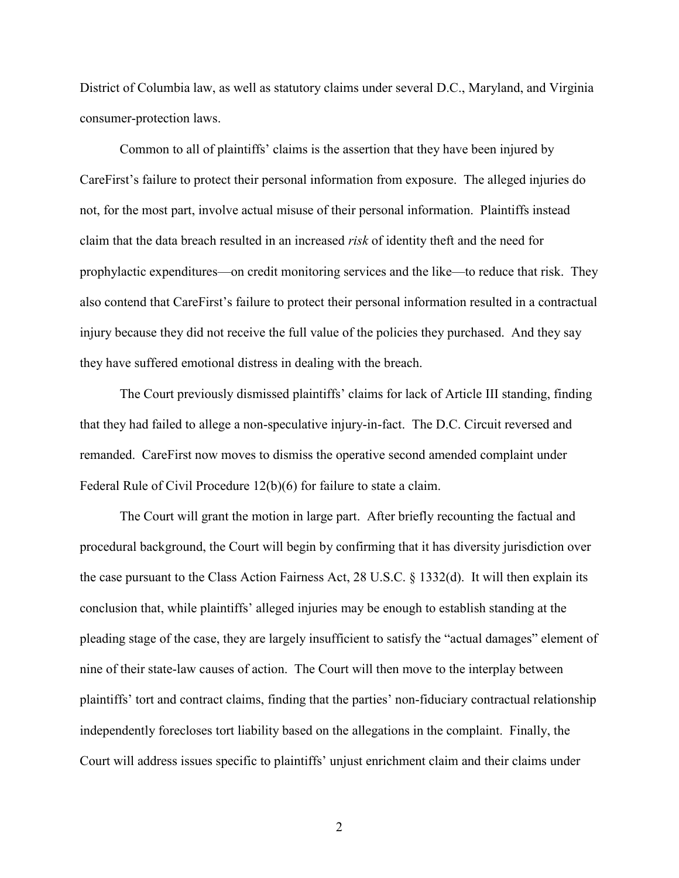District of Columbia law, as well as statutory claims under several D.C., Maryland, and Virginia consumer-protection laws.

Common to all of plaintiffs' claims is the assertion that they have been injured by CareFirst's failure to protect their personal information from exposure. The alleged injuries do not, for the most part, involve actual misuse of their personal information. Plaintiffs instead claim that the data breach resulted in an increased *risk* of identity theft and the need for prophylactic expenditures—on credit monitoring services and the like—to reduce that risk. They also contend that CareFirst's failure to protect their personal information resulted in a contractual injury because they did not receive the full value of the policies they purchased. And they say they have suffered emotional distress in dealing with the breach.

The Court previously dismissed plaintiffs' claims for lack of Article III standing, finding that they had failed to allege a non-speculative injury-in-fact. The D.C. Circuit reversed and remanded. CareFirst now moves to dismiss the operative second amended complaint under Federal Rule of Civil Procedure 12(b)(6) for failure to state a claim.

The Court will grant the motion in large part. After briefly recounting the factual and procedural background, the Court will begin by confirming that it has diversity jurisdiction over the case pursuant to the Class Action Fairness Act, 28 U.S.C. § 1332(d). It will then explain its conclusion that, while plaintiffs' alleged injuries may be enough to establish standing at the pleading stage of the case, they are largely insufficient to satisfy the "actual damages" element of nine of their state-law causes of action. The Court will then move to the interplay between plaintiffs' tort and contract claims, finding that the parties' non-fiduciary contractual relationship independently forecloses tort liability based on the allegations in the complaint. Finally, the Court will address issues specific to plaintiffs' unjust enrichment claim and their claims under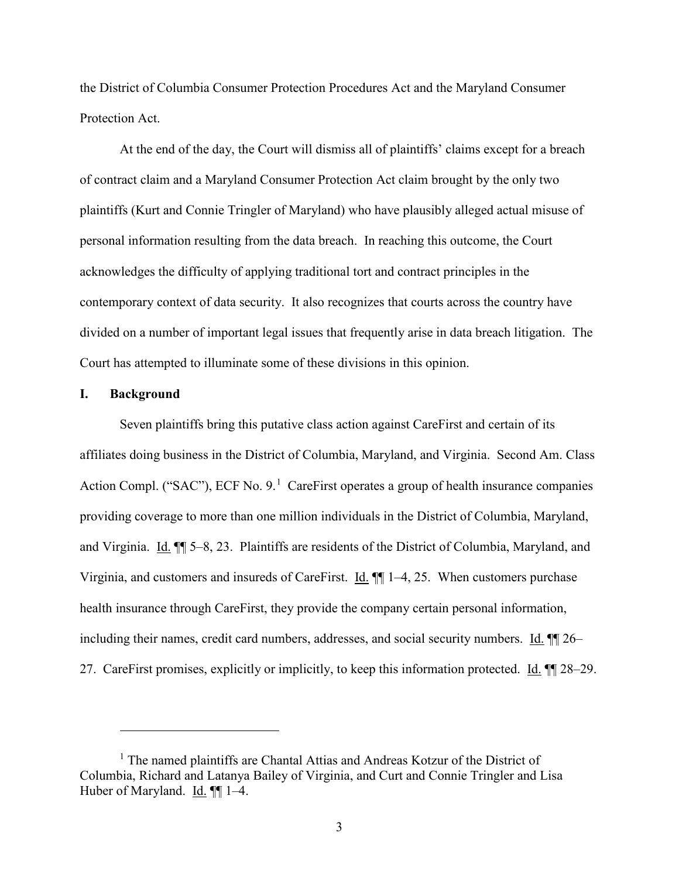the District of Columbia Consumer Protection Procedures Act and the Maryland Consumer Protection Act.

At the end of the day, the Court will dismiss all of plaintiffs' claims except for a breach of contract claim and a Maryland Consumer Protection Act claim brought by the only two plaintiffs (Kurt and Connie Tringler of Maryland) who have plausibly alleged actual misuse of personal information resulting from the data breach. In reaching this outcome, the Court acknowledges the difficulty of applying traditional tort and contract principles in the contemporary context of data security. It also recognizes that courts across the country have divided on a number of important legal issues that frequently arise in data breach litigation. The Court has attempted to illuminate some of these divisions in this opinion.

#### <span id="page-2-0"></span>**I. Background**

 $\overline{a}$ 

Seven plaintiffs bring this putative class action against CareFirst and certain of its affiliates doing business in the District of Columbia, Maryland, and Virginia. Second Am. Class Action Compl. ("SAC"), ECF No. 9.<sup>[1](#page-2-1)</sup> CareFirst operates a group of health insurance companies providing coverage to more than one million individuals in the District of Columbia, Maryland, and Virginia. Id.  $\blacksquare$  5–8, 23. Plaintiffs are residents of the District of Columbia, Maryland, and Virginia, and customers and insureds of CareFirst.  $\underline{Id}$ .  $\P\P$  1–4, 25. When customers purchase health insurance through CareFirst, they provide the company certain personal information, including their names, credit card numbers, addresses, and social security numbers. Id. ¶¶ 26– 27. CareFirst promises, explicitly or implicitly, to keep this information protected. Id.  $\P$  28–29.

<span id="page-2-1"></span><sup>&</sup>lt;sup>1</sup> The named plaintiffs are Chantal Attias and Andreas Kotzur of the District of Columbia, Richard and Latanya Bailey of Virginia, and Curt and Connie Tringler and Lisa Huber of Maryland. Id. ¶¶ 1–4.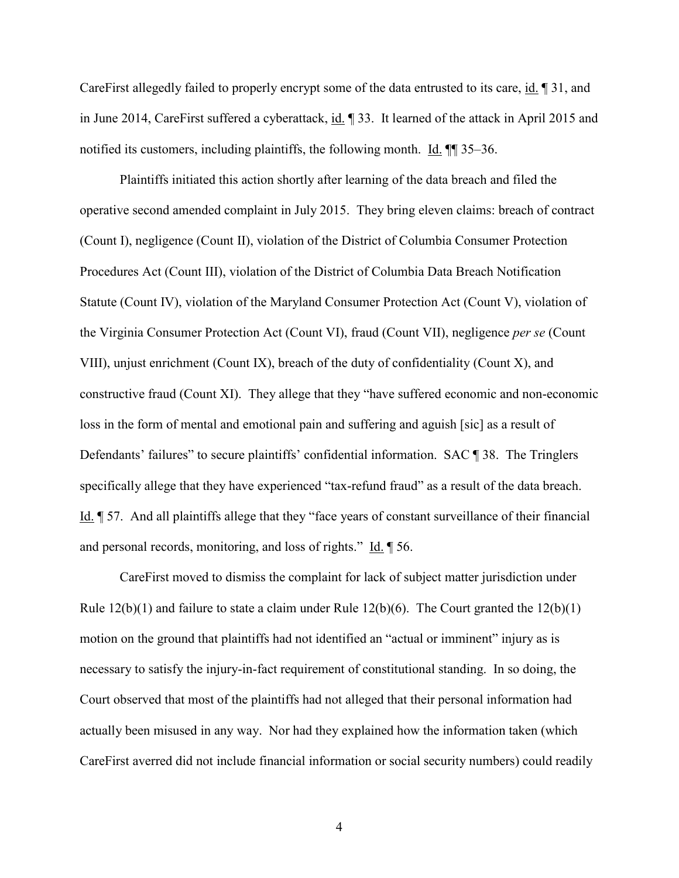CareFirst allegedly failed to properly encrypt some of the data entrusted to its care, id. ¶ 31, and in June 2014, CareFirst suffered a cyberattack, id. ¶ 33. It learned of the attack in April 2015 and notified its customers, including plaintiffs, the following month. Id. ¶¶ 35–36.

Plaintiffs initiated this action shortly after learning of the data breach and filed the operative second amended complaint in July 2015. They bring eleven claims: breach of contract (Count I), negligence (Count II), violation of the District of Columbia Consumer Protection Procedures Act (Count III), violation of the District of Columbia Data Breach Notification Statute (Count IV), violation of the Maryland Consumer Protection Act (Count V), violation of the Virginia Consumer Protection Act (Count VI), fraud (Count VII), negligence *per se* (Count VIII), unjust enrichment (Count IX), breach of the duty of confidentiality (Count X), and constructive fraud (Count XI). They allege that they "have suffered economic and non-economic loss in the form of mental and emotional pain and suffering and aguish [sic] as a result of Defendants' failures" to secure plaintiffs' confidential information. SAC ¶ 38. The Tringlers specifically allege that they have experienced "tax-refund fraud" as a result of the data breach. Id. ¶ 57. And all plaintiffs allege that they "face years of constant surveillance of their financial and personal records, monitoring, and loss of rights." Id. ¶ 56.

CareFirst moved to dismiss the complaint for lack of subject matter jurisdiction under Rule  $12(b)(1)$  and failure to state a claim under Rule  $12(b)(6)$ . The Court granted the  $12(b)(1)$ motion on the ground that plaintiffs had not identified an "actual or imminent" injury as is necessary to satisfy the injury-in-fact requirement of constitutional standing. In so doing, the Court observed that most of the plaintiffs had not alleged that their personal information had actually been misused in any way. Nor had they explained how the information taken (which CareFirst averred did not include financial information or social security numbers) could readily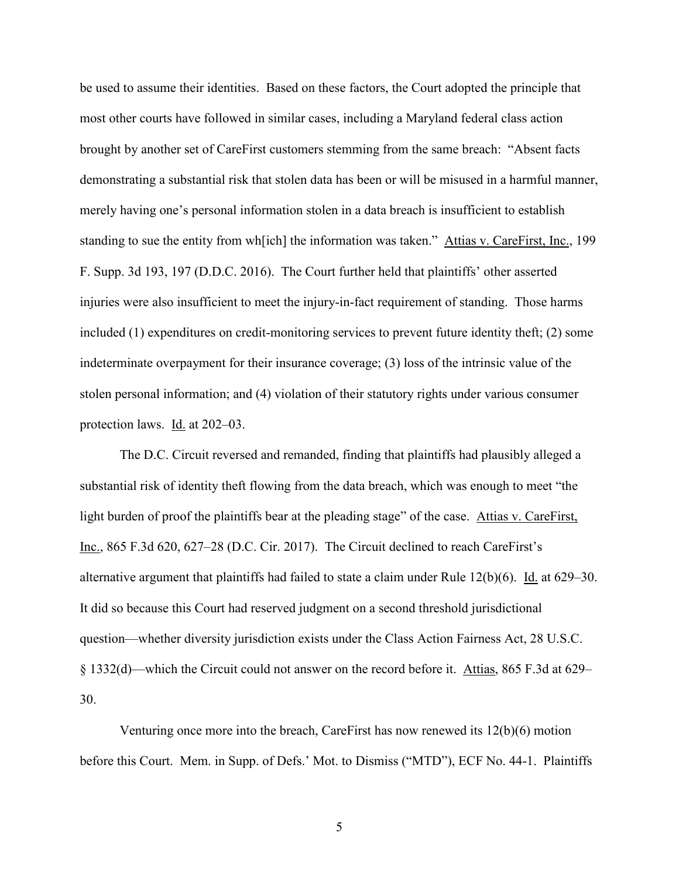be used to assume their identities. Based on these factors, the Court adopted the principle that most other courts have followed in similar cases, including a Maryland federal class action brought by another set of CareFirst customers stemming from the same breach: "Absent facts demonstrating a substantial risk that stolen data has been or will be misused in a harmful manner, merely having one's personal information stolen in a data breach is insufficient to establish standing to sue the entity from wh[ich] the information was taken." Attias v. CareFirst, Inc., 199 F. Supp. 3d 193, 197 (D.D.C. 2016). The Court further held that plaintiffs' other asserted injuries were also insufficient to meet the injury-in-fact requirement of standing. Those harms included (1) expenditures on credit-monitoring services to prevent future identity theft; (2) some indeterminate overpayment for their insurance coverage; (3) loss of the intrinsic value of the stolen personal information; and (4) violation of their statutory rights under various consumer protection laws. Id. at 202–03.

The D.C. Circuit reversed and remanded, finding that plaintiffs had plausibly alleged a substantial risk of identity theft flowing from the data breach, which was enough to meet "the light burden of proof the plaintiffs bear at the pleading stage" of the case. Attias v. CareFirst, Inc., 865 F.3d 620, 627–28 (D.C. Cir. 2017). The Circuit declined to reach CareFirst's alternative argument that plaintiffs had failed to state a claim under Rule  $12(b)(6)$ . Id. at  $629-30$ . It did so because this Court had reserved judgment on a second threshold jurisdictional question—whether diversity jurisdiction exists under the Class Action Fairness Act, 28 U.S.C. § 1332(d)—which the Circuit could not answer on the record before it. Attias, 865 F.3d at 629– 30.

Venturing once more into the breach, CareFirst has now renewed its 12(b)(6) motion before this Court. Mem. in Supp. of Defs.' Mot. to Dismiss ("MTD"), ECF No. 44-1. Plaintiffs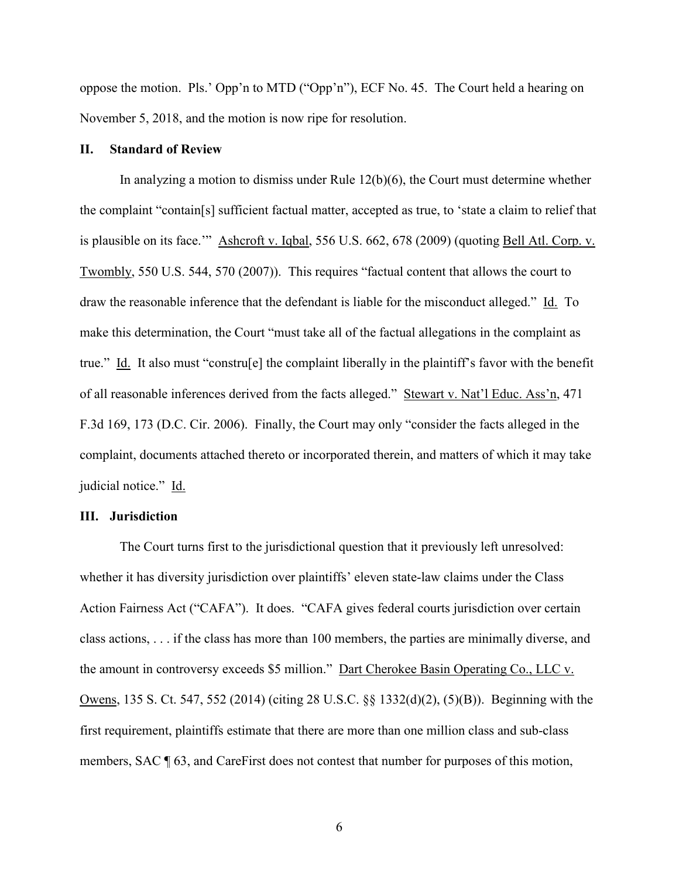oppose the motion. Pls.' Opp'n to MTD ("Opp'n"), ECF No. 45. The Court held a hearing on November 5, 2018, and the motion is now ripe for resolution.

## <span id="page-5-0"></span>**II. Standard of Review**

In analyzing a motion to dismiss under Rule  $12(b)(6)$ , the Court must determine whether the complaint "contain[s] sufficient factual matter, accepted as true, to 'state a claim to relief that is plausible on its face."" Ashcroft v. Iqbal, 556 U.S. 662, 678 (2009) (quoting Bell Atl. Corp. v. Twombly, 550 U.S. 544, 570 (2007)). This requires "factual content that allows the court to draw the reasonable inference that the defendant is liable for the misconduct alleged." Id. To make this determination, the Court "must take all of the factual allegations in the complaint as true." Id. It also must "constru[e] the complaint liberally in the plaintiff's favor with the benefit of all reasonable inferences derived from the facts alleged." Stewart v. Nat'l Educ. Ass'n, 471 F.3d 169, 173 (D.C. Cir. 2006). Finally, the Court may only "consider the facts alleged in the complaint, documents attached thereto or incorporated therein, and matters of which it may take judicial notice." Id.

#### <span id="page-5-1"></span>**III. Jurisdiction**

The Court turns first to the jurisdictional question that it previously left unresolved: whether it has diversity jurisdiction over plaintiffs' eleven state-law claims under the Class Action Fairness Act ("CAFA"). It does. "CAFA gives federal courts jurisdiction over certain class actions, . . . if the class has more than 100 members, the parties are minimally diverse, and the amount in controversy exceeds \$5 million." Dart Cherokee Basin Operating Co., LLC v. Owens, 135 S. Ct. 547, 552 (2014) (citing 28 U.S.C. §§ 1332(d)(2), (5)(B)). Beginning with the first requirement, plaintiffs estimate that there are more than one million class and sub-class members, SAC ¶ 63, and CareFirst does not contest that number for purposes of this motion,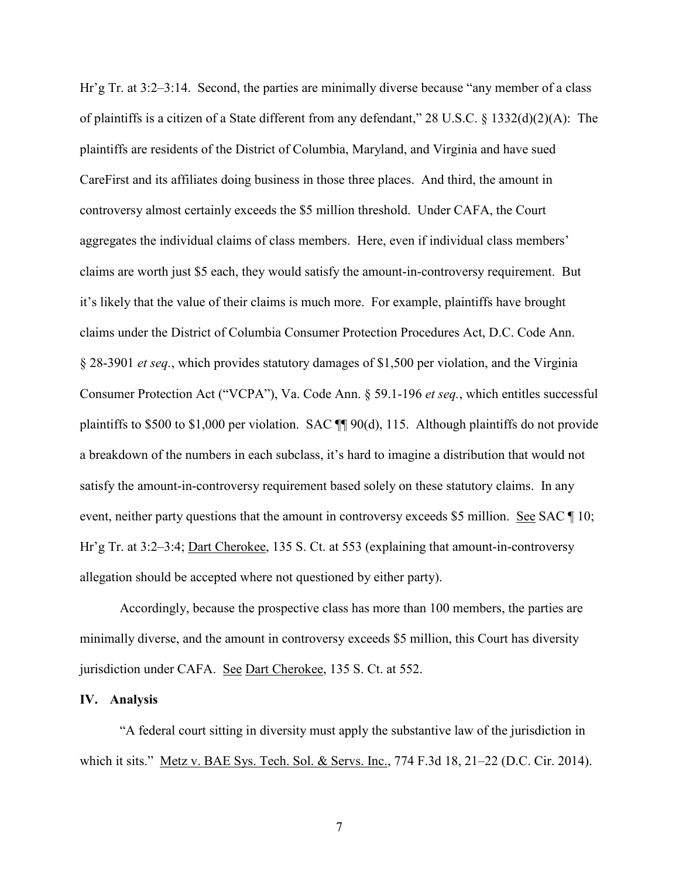Hr'g Tr. at 3:2–3:14. Second, the parties are minimally diverse because "any member of a class of plaintiffs is a citizen of a State different from any defendant," 28 U.S.C. § 1332(d)(2)(A): The plaintiffs are residents of the District of Columbia, Maryland, and Virginia and have sued CareFirst and its affiliates doing business in those three places. And third, the amount in controversy almost certainly exceeds the \$5 million threshold. Under CAFA, the Court aggregates the individual claims of class members. Here, even if individual class members' claims are worth just \$5 each, they would satisfy the amount-in-controversy requirement. But it's likely that the value of their claims is much more. For example, plaintiffs have brought claims under the District of Columbia Consumer Protection Procedures Act, D.C. Code Ann. § 28-3901 *et seq.*, which provides statutory damages of \$1,500 per violation, and the Virginia Consumer Protection Act ("VCPA"), Va. Code Ann. § 59.1-196 *et seq.*, which entitles successful plaintiffs to \$500 to \$1,000 per violation. SAC ¶¶ 90(d), 115. Although plaintiffs do not provide a breakdown of the numbers in each subclass, it's hard to imagine a distribution that would not satisfy the amount-in-controversy requirement based solely on these statutory claims. In any event, neither party questions that the amount in controversy exceeds \$5 million. See SAC | 10; Hr'g Tr. at 3:2–3:4; Dart Cherokee, 135 S. Ct. at 553 (explaining that amount-in-controversy allegation should be accepted where not questioned by either party).

Accordingly, because the prospective class has more than 100 members, the parties are minimally diverse, and the amount in controversy exceeds \$5 million, this Court has diversity jurisdiction under CAFA. See Dart Cherokee, 135 S. Ct. at 552.

#### <span id="page-6-0"></span>**IV. Analysis**

"A federal court sitting in diversity must apply the substantive law of the jurisdiction in which it sits." Metz v. BAE Sys. Tech. Sol. & Servs. Inc., 774 F.3d 18, 21–22 (D.C. Cir. 2014).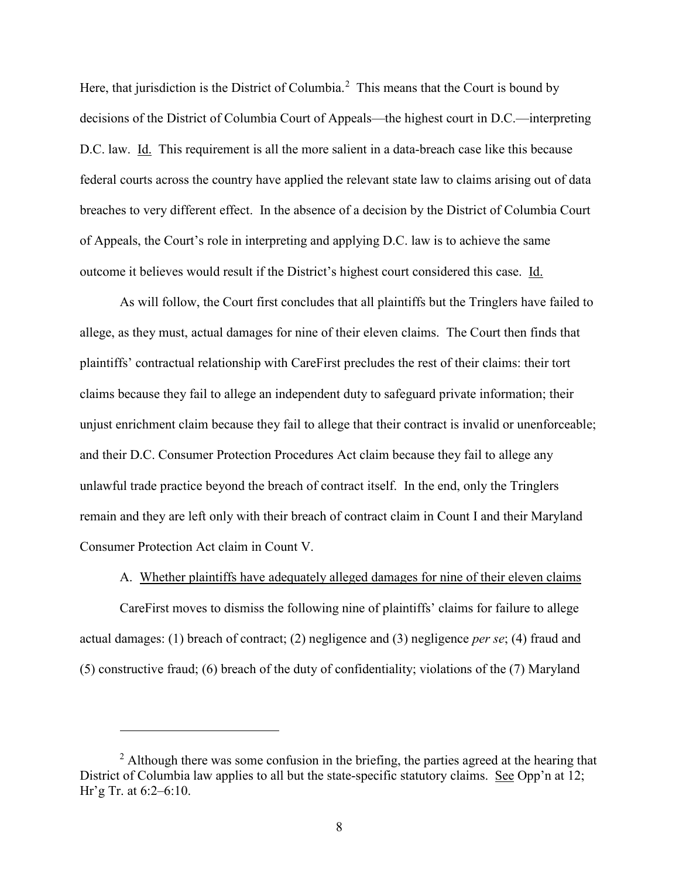Here, that jurisdiction is the District of Columbia.<sup>[2](#page-7-1)</sup> This means that the Court is bound by decisions of the District of Columbia Court of Appeals—the highest court in D.C.—interpreting D.C. law. Id. This requirement is all the more salient in a data-breach case like this because federal courts across the country have applied the relevant state law to claims arising out of data breaches to very different effect. In the absence of a decision by the District of Columbia Court of Appeals, the Court's role in interpreting and applying D.C. law is to achieve the same outcome it believes would result if the District's highest court considered this case. Id.

As will follow, the Court first concludes that all plaintiffs but the Tringlers have failed to allege, as they must, actual damages for nine of their eleven claims. The Court then finds that plaintiffs' contractual relationship with CareFirst precludes the rest of their claims: their tort claims because they fail to allege an independent duty to safeguard private information; their unjust enrichment claim because they fail to allege that their contract is invalid or unenforceable; and their D.C. Consumer Protection Procedures Act claim because they fail to allege any unlawful trade practice beyond the breach of contract itself. In the end, only the Tringlers remain and they are left only with their breach of contract claim in Count I and their Maryland Consumer Protection Act claim in Count V.

A. Whether plaintiffs have adequately alleged damages for nine of their eleven claims

<span id="page-7-0"></span>CareFirst moves to dismiss the following nine of plaintiffs' claims for failure to allege actual damages: (1) breach of contract; (2) negligence and (3) negligence *per se*; (4) fraud and (5) constructive fraud; (6) breach of the duty of confidentiality; violations of the (7) Maryland

<span id="page-7-1"></span> $2$  Although there was some confusion in the briefing, the parties agreed at the hearing that District of Columbia law applies to all but the state-specific statutory claims. See Opp'n at 12; Hr'g Tr. at 6:2–6:10.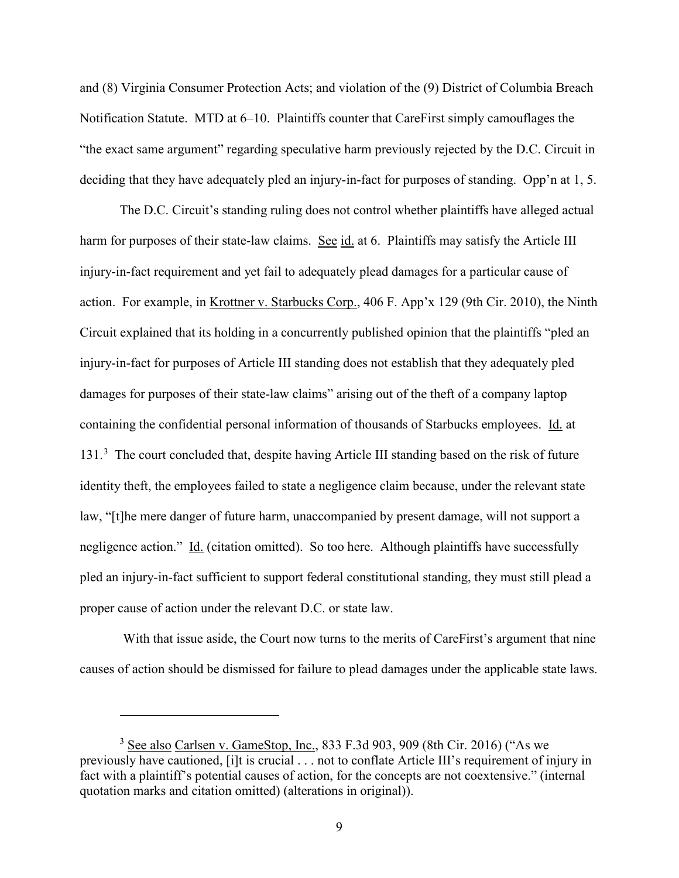and (8) Virginia Consumer Protection Acts; and violation of the (9) District of Columbia Breach Notification Statute. MTD at 6–10. Plaintiffs counter that CareFirst simply camouflages the "the exact same argument" regarding speculative harm previously rejected by the D.C. Circuit in deciding that they have adequately pled an injury-in-fact for purposes of standing. Opp'n at 1, 5.

The D.C. Circuit's standing ruling does not control whether plaintiffs have alleged actual harm for purposes of their state-law claims. See id. at 6. Plaintiffs may satisfy the Article III injury-in-fact requirement and yet fail to adequately plead damages for a particular cause of action. For example, in Krottner v. Starbucks Corp., 406 F. App'x 129 (9th Cir. 2010), the Ninth Circuit explained that its holding in a concurrently published opinion that the plaintiffs "pled an injury-in-fact for purposes of Article III standing does not establish that they adequately pled damages for purposes of their state-law claims" arising out of the theft of a company laptop containing the confidential personal information of thousands of Starbucks employees. Id. at 1[3](#page-8-0)1.<sup>3</sup> The court concluded that, despite having Article III standing based on the risk of future identity theft, the employees failed to state a negligence claim because, under the relevant state law, "[t]he mere danger of future harm, unaccompanied by present damage, will not support a negligence action." Id. (citation omitted). So too here. Although plaintiffs have successfully pled an injury-in-fact sufficient to support federal constitutional standing, they must still plead a proper cause of action under the relevant D.C. or state law.

With that issue aside, the Court now turns to the merits of CareFirst's argument that nine causes of action should be dismissed for failure to plead damages under the applicable state laws.

<span id="page-8-0"></span> $3$  See also Carlsen v. GameStop, Inc., 833 F.3d 903, 909 (8th Cir. 2016) ("As we previously have cautioned, [i]t is crucial . . . not to conflate Article III's requirement of injury in fact with a plaintiff's potential causes of action, for the concepts are not coextensive." (internal quotation marks and citation omitted) (alterations in original)).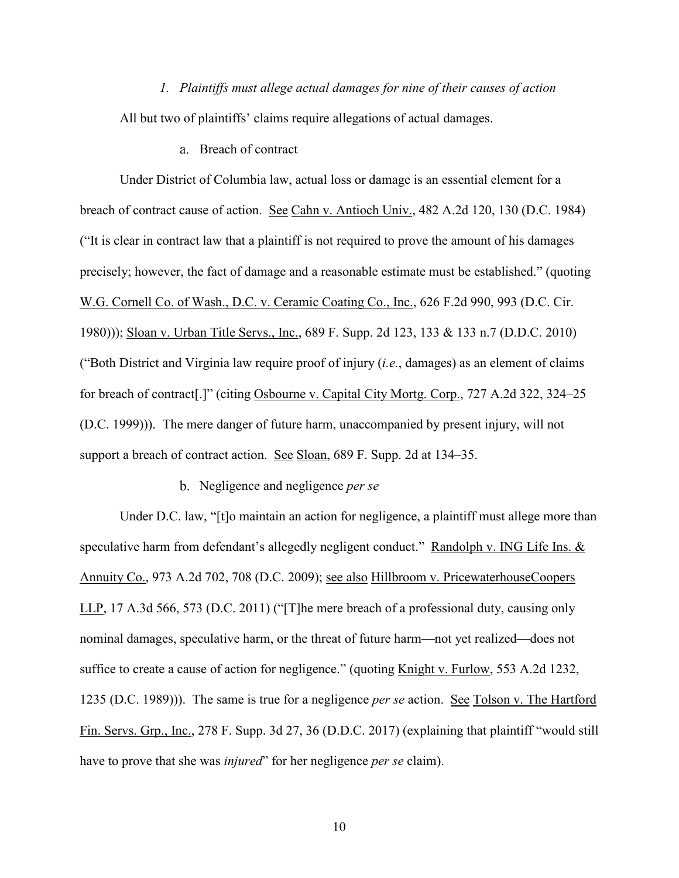<span id="page-9-0"></span>*1. Plaintiffs must allege actual damages for nine of their causes of action* All but two of plaintiffs' claims require allegations of actual damages.

Breach of contract

Under District of Columbia law, actual loss or damage is an essential element for a breach of contract cause of action. See Cahn v. Antioch Univ., 482 A.2d 120, 130 (D.C. 1984) ("It is clear in contract law that a plaintiff is not required to prove the amount of his damages precisely; however, the fact of damage and a reasonable estimate must be established." (quoting W.G. Cornell Co. of Wash., D.C. v. Ceramic Coating Co., Inc., 626 F.2d 990, 993 (D.C. Cir. 1980))); Sloan v. Urban Title Servs., Inc., 689 F. Supp. 2d 123, 133 & 133 n.7 (D.D.C. 2010) ("Both District and Virginia law require proof of injury (*i.e.*, damages) as an element of claims for breach of contract[.]" (citing Osbourne v. Capital City Mortg. Corp., 727 A.2d 322, 324–25 (D.C. 1999))). The mere danger of future harm, unaccompanied by present injury, will not support a breach of contract action. See Sloan, 689 F. Supp. 2d at 134–35.

Negligence and negligence *per se*

Under D.C. law, "[t]o maintain an action for negligence, a plaintiff must allege more than speculative harm from defendant's allegedly negligent conduct." Randolph v. ING Life Ins. & Annuity Co., 973 A.2d 702, 708 (D.C. 2009); see also Hillbroom v. PricewaterhouseCoopers LLP, 17 A.3d 566, 573 (D.C. 2011) ("[T]he mere breach of a professional duty, causing only nominal damages, speculative harm, or the threat of future harm—not yet realized—does not suffice to create a cause of action for negligence." (quoting Knight v. Furlow, 553 A.2d 1232, 1235 (D.C. 1989))). The same is true for a negligence *per se* action. See Tolson v. The Hartford Fin. Servs. Grp., Inc., 278 F. Supp. 3d 27, 36 (D.D.C. 2017) (explaining that plaintiff "would still have to prove that she was *injured*" for her negligence *per se* claim).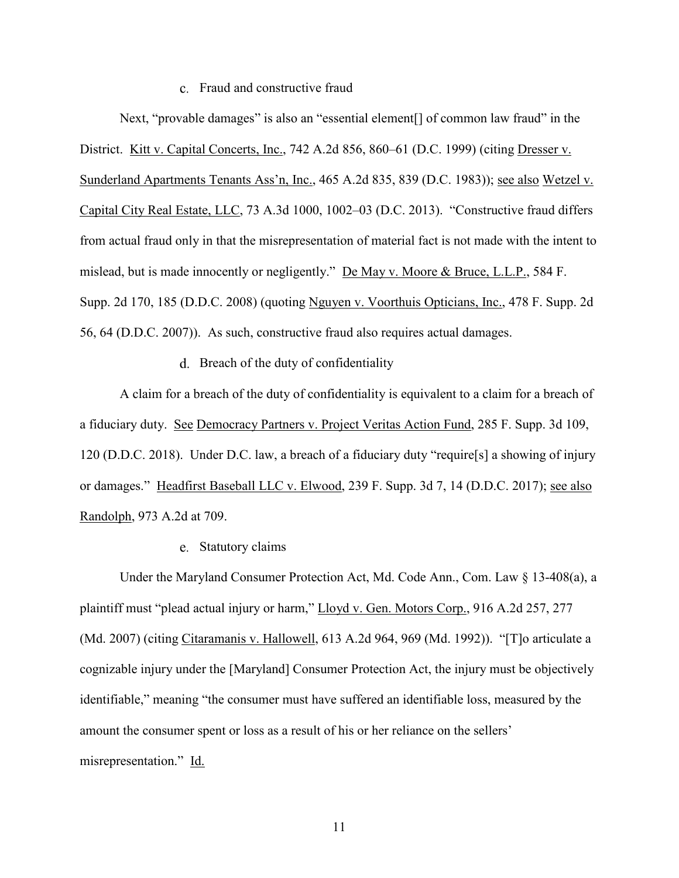### Fraud and constructive fraud

Next, "provable damages" is also an "essential element<sup>[]</sup> of common law fraud" in the District. Kitt v. Capital Concerts, Inc., 742 A.2d 856, 860–61 (D.C. 1999) (citing Dresser v. Sunderland Apartments Tenants Ass'n, Inc., 465 A.2d 835, 839 (D.C. 1983)); see also Wetzel v. Capital City Real Estate, LLC, 73 A.3d 1000, 1002–03 (D.C. 2013). "Constructive fraud differs from actual fraud only in that the misrepresentation of material fact is not made with the intent to mislead, but is made innocently or negligently." De May v. Moore & Bruce, L.L.P., 584 F. Supp. 2d 170, 185 (D.D.C. 2008) (quoting Nguyen v. Voorthuis Opticians, Inc., 478 F. Supp. 2d 56, 64 (D.D.C. 2007)). As such, constructive fraud also requires actual damages.

d. Breach of the duty of confidentiality

A claim for a breach of the duty of confidentiality is equivalent to a claim for a breach of a fiduciary duty. See Democracy Partners v. Project Veritas Action Fund, 285 F. Supp. 3d 109, 120 (D.D.C. 2018). Under D.C. law, a breach of a fiduciary duty "require[s] a showing of injury or damages." Headfirst Baseball LLC v. Elwood, 239 F. Supp. 3d 7, 14 (D.D.C. 2017); see also Randolph, 973 A.2d at 709.

#### Statutory claims

Under the Maryland Consumer Protection Act, Md. Code Ann., Com. Law § 13-408(a), a plaintiff must "plead actual injury or harm," Lloyd v. Gen. Motors Corp., 916 A.2d 257, 277 (Md. 2007) (citing Citaramanis v. Hallowell, 613 A.2d 964, 969 (Md. 1992)). "[T]o articulate a cognizable injury under the [Maryland] Consumer Protection Act, the injury must be objectively identifiable," meaning "the consumer must have suffered an identifiable loss, measured by the amount the consumer spent or loss as a result of his or her reliance on the sellers' misrepresentation." Id.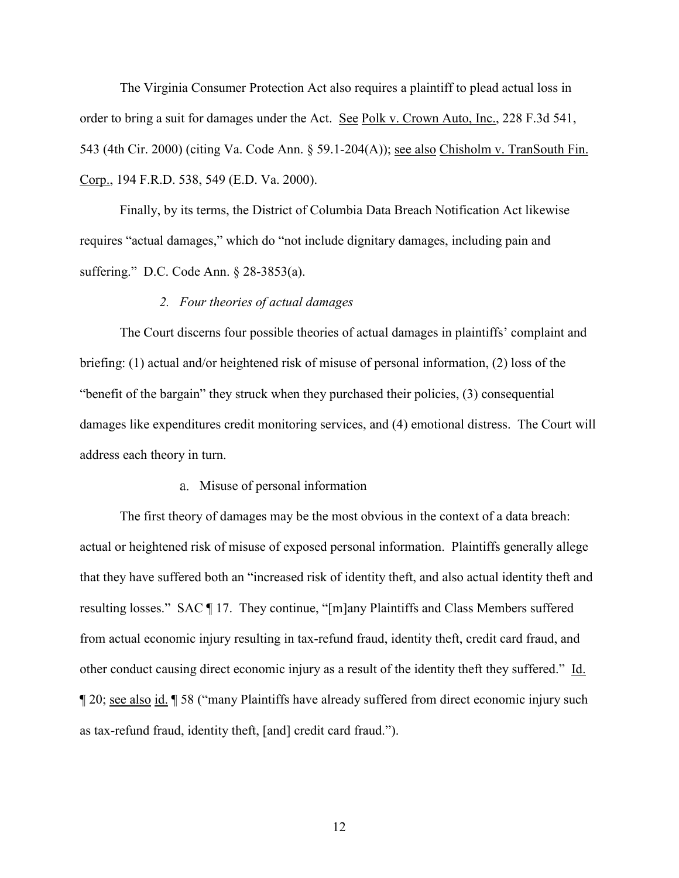The Virginia Consumer Protection Act also requires a plaintiff to plead actual loss in order to bring a suit for damages under the Act. See Polk v. Crown Auto, Inc., 228 F.3d 541, 543 (4th Cir. 2000) (citing Va. Code Ann. § 59.1-204(A)); see also Chisholm v. TranSouth Fin. Corp., 194 F.R.D. 538, 549 (E.D. Va. 2000).

Finally, by its terms, the District of Columbia Data Breach Notification Act likewise requires "actual damages," which do "not include dignitary damages, including pain and suffering." D.C. Code Ann. § 28-3853(a).

# *2. Four theories of actual damages*

<span id="page-11-0"></span>The Court discerns four possible theories of actual damages in plaintiffs' complaint and briefing: (1) actual and/or heightened risk of misuse of personal information, (2) loss of the "benefit of the bargain" they struck when they purchased their policies, (3) consequential damages like expenditures credit monitoring services, and (4) emotional distress. The Court will address each theory in turn.

#### a. Misuse of personal information

The first theory of damages may be the most obvious in the context of a data breach: actual or heightened risk of misuse of exposed personal information. Plaintiffs generally allege that they have suffered both an "increased risk of identity theft, and also actual identity theft and resulting losses." SAC ¶ 17. They continue, "[m]any Plaintiffs and Class Members suffered from actual economic injury resulting in tax-refund fraud, identity theft, credit card fraud, and other conduct causing direct economic injury as a result of the identity theft they suffered."  $\underline{Id}$ . ¶ 20; see also id. ¶ 58 ("many Plaintiffs have already suffered from direct economic injury such as tax-refund fraud, identity theft, [and] credit card fraud.").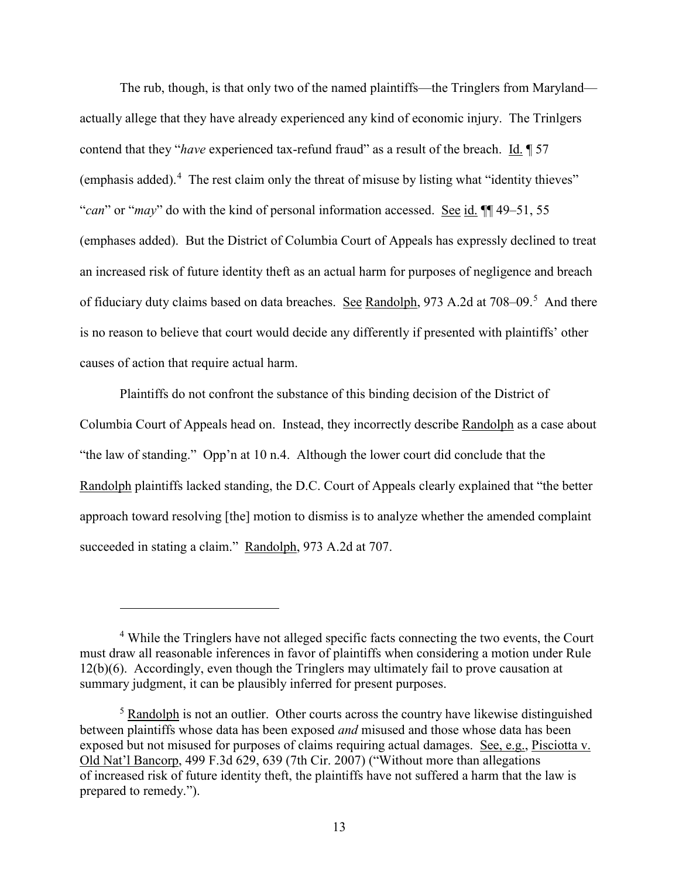The rub, though, is that only two of the named plaintiffs—the Tringlers from Maryland actually allege that they have already experienced any kind of economic injury. The Trinlgers contend that they "*have* experienced tax-refund fraud" as a result of the breach. Id. 157 (emphasis added). $4$  The rest claim only the threat of misuse by listing what "identity thieves" "*can*" or "*may*" do with the kind of personal information accessed. See id. ¶¶ 49–51, 55 (emphases added). But the District of Columbia Court of Appeals has expressly declined to treat an increased risk of future identity theft as an actual harm for purposes of negligence and breach of fiduciary duty claims based on data breaches. See Randolph, 973 A.2d at 708–09.<sup>[5](#page-12-1)</sup> And there is no reason to believe that court would decide any differently if presented with plaintiffs' other causes of action that require actual harm.

Plaintiffs do not confront the substance of this binding decision of the District of Columbia Court of Appeals head on. Instead, they incorrectly describe Randolph as a case about "the law of standing." Opp'n at 10 n.4. Although the lower court did conclude that the Randolph plaintiffs lacked standing, the D.C. Court of Appeals clearly explained that "the better approach toward resolving [the] motion to dismiss is to analyze whether the amended complaint succeeded in stating a claim." Randolph, 973 A.2d at 707.

<span id="page-12-0"></span><sup>&</sup>lt;sup>4</sup> While the Tringlers have not alleged specific facts connecting the two events, the Court must draw all reasonable inferences in favor of plaintiffs when considering a motion under Rule 12(b)(6). Accordingly, even though the Tringlers may ultimately fail to prove causation at summary judgment, it can be plausibly inferred for present purposes.

<span id="page-12-1"></span> $<sup>5</sup>$  Randolph is not an outlier. Other courts across the country have likewise distinguished</sup> between plaintiffs whose data has been exposed *and* misused and those whose data has been exposed but not misused for purposes of claims requiring actual damages. See, e.g., Pisciotta v. Old Nat'l Bancorp, 499 F.3d 629, 639 (7th Cir. 2007) ("Without more than allegations of increased risk of future identity theft, the plaintiffs have not suffered a harm that the law is prepared to remedy.").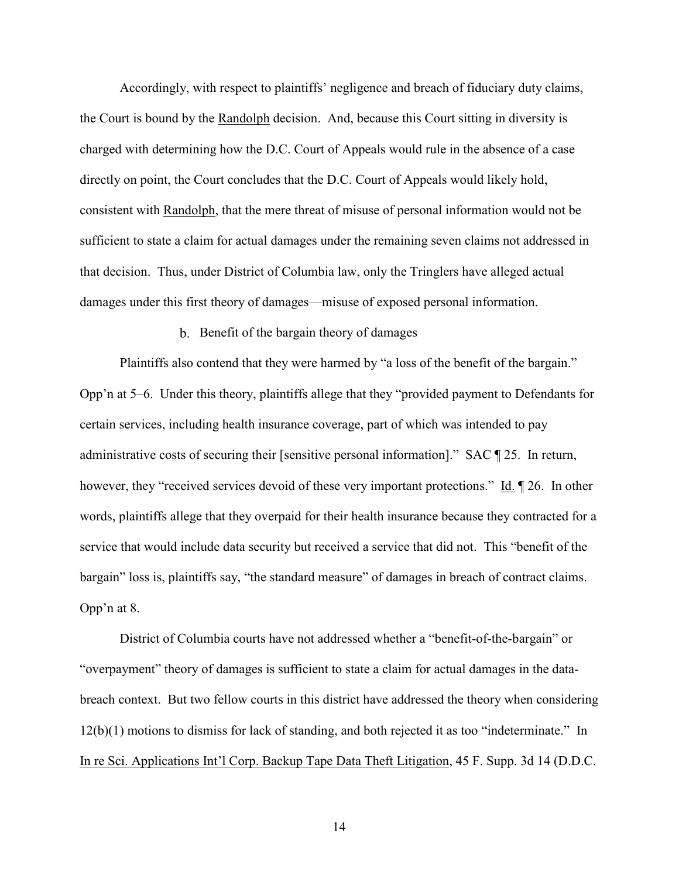Accordingly, with respect to plaintiffs' negligence and breach of fiduciary duty claims, the Court is bound by the Randolph decision. And, because this Court sitting in diversity is charged with determining how the D.C. Court of Appeals would rule in the absence of a case directly on point, the Court concludes that the D.C. Court of Appeals would likely hold, consistent with Randolph, that the mere threat of misuse of personal information would not be sufficient to state a claim for actual damages under the remaining seven claims not addressed in that decision. Thus, under District of Columbia law, only the Tringlers have alleged actual damages under this first theory of damages—misuse of exposed personal information.

#### b. Benefit of the bargain theory of damages

Plaintiffs also contend that they were harmed by "a loss of the benefit of the bargain." Opp'n at 5–6. Under this theory, plaintiffs allege that they "provided payment to Defendants for certain services, including health insurance coverage, part of which was intended to pay administrative costs of securing their [sensitive personal information]." SAC ¶ 25. In return, however, they "received services devoid of these very important protections." Id.  $\sqrt{26}$ . In other words, plaintiffs allege that they overpaid for their health insurance because they contracted for a service that would include data security but received a service that did not. This "benefit of the bargain" loss is, plaintiffs say, "the standard measure" of damages in breach of contract claims. Opp'n at 8.

District of Columbia courts have not addressed whether a "benefit-of-the-bargain" or "overpayment" theory of damages is sufficient to state a claim for actual damages in the databreach context. But two fellow courts in this district have addressed the theory when considering 12(b)(1) motions to dismiss for lack of standing, and both rejected it as too "indeterminate." In In re Sci. Applications Int'l Corp. Backup Tape Data Theft Litigation, 45 F. Supp. 3d 14 (D.D.C.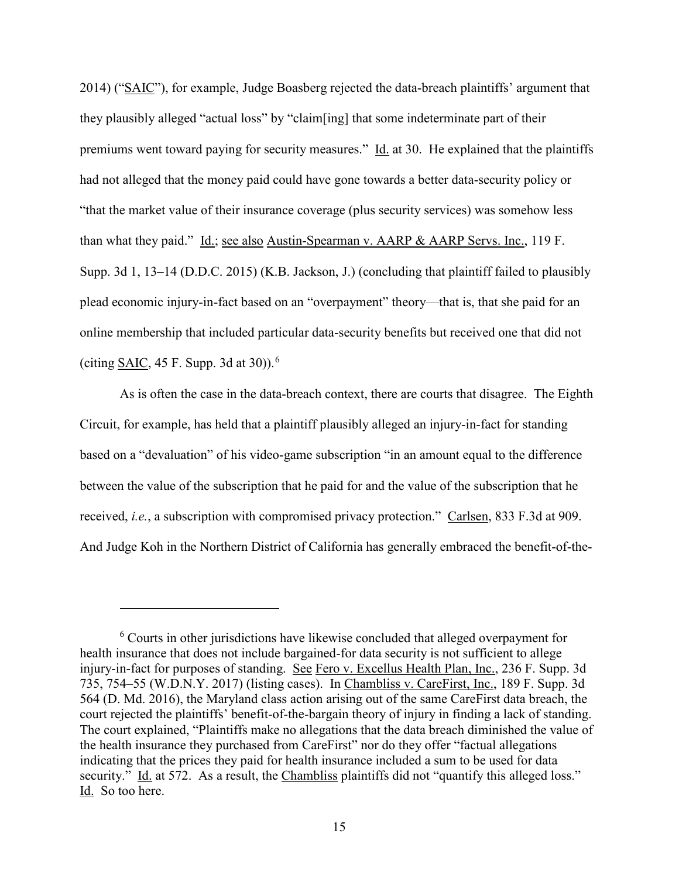2014) ("SAIC"), for example, Judge Boasberg rejected the data-breach plaintiffs' argument that they plausibly alleged "actual loss" by "claim[ing] that some indeterminate part of their premiums went toward paying for security measures." Id. at 30. He explained that the plaintiffs had not alleged that the money paid could have gone towards a better data-security policy or "that the market value of their insurance coverage (plus security services) was somehow less than what they paid." Id.; see also Austin-Spearman v. AARP & AARP Servs. Inc., 119 F. Supp. 3d 1, 13–14 (D.D.C. 2015) (K.B. Jackson, J.) (concluding that plaintiff failed to plausibly plead economic injury-in-fact based on an "overpayment" theory—that is, that she paid for an online membership that included particular data-security benefits but received one that did not (citing SAIC, 45 F. Supp. 3d at 30)).<sup>[6](#page-14-0)</sup>

As is often the case in the data-breach context, there are courts that disagree. The Eighth Circuit, for example, has held that a plaintiff plausibly alleged an injury-in-fact for standing based on a "devaluation" of his video-game subscription "in an amount equal to the difference between the value of the subscription that he paid for and the value of the subscription that he received, *i.e.*, a subscription with compromised privacy protection." Carlsen, 833 F.3d at 909. And Judge Koh in the Northern District of California has generally embraced the benefit-of-the-

<span id="page-14-0"></span><sup>6</sup> Courts in other jurisdictions have likewise concluded that alleged overpayment for health insurance that does not include bargained-for data security is not sufficient to allege injury-in-fact for purposes of standing. See Fero v. Excellus Health Plan, Inc., 236 F. Supp. 3d 735, 754–55 (W.D.N.Y. 2017) (listing cases). In Chambliss v. CareFirst, Inc., 189 F. Supp. 3d 564 (D. Md. 2016), the Maryland class action arising out of the same CareFirst data breach, the court rejected the plaintiffs' benefit-of-the-bargain theory of injury in finding a lack of standing. The court explained, "Plaintiffs make no allegations that the data breach diminished the value of the health insurance they purchased from CareFirst" nor do they offer "factual allegations indicating that the prices they paid for health insurance included a sum to be used for data security." Id. at 572. As a result, the Chambliss plaintiffs did not "quantify this alleged loss." Id. So too here.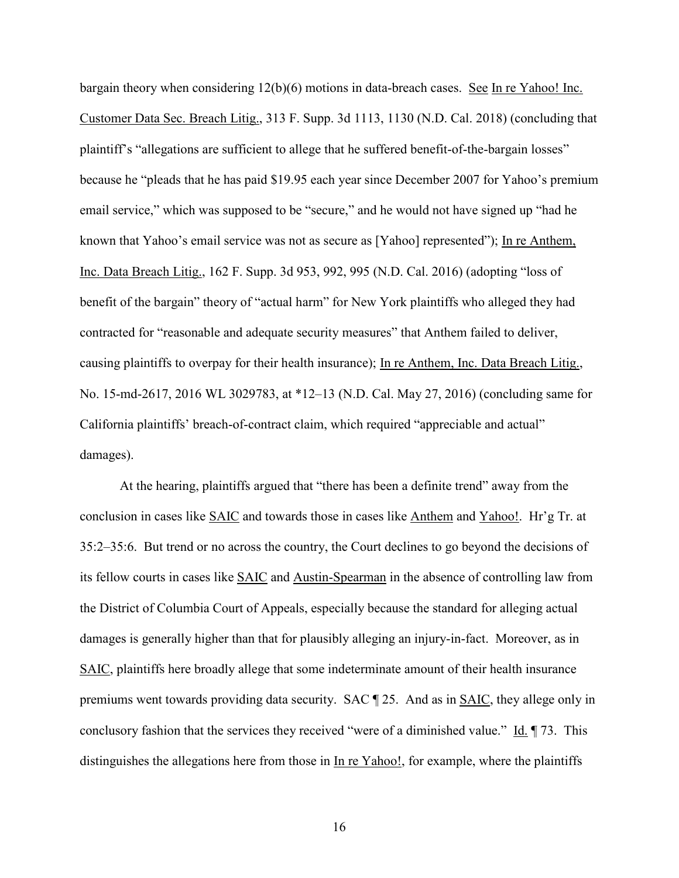bargain theory when considering  $12(b)(6)$  motions in data-breach cases. See In re Yahoo! Inc. Customer Data Sec. Breach Litig., 313 F. Supp. 3d 1113, 1130 (N.D. Cal. 2018) (concluding that plaintiff's "allegations are sufficient to allege that he suffered benefit-of-the-bargain losses" because he "pleads that he has paid \$19.95 each year since December 2007 for Yahoo's premium email service," which was supposed to be "secure," and he would not have signed up "had he known that Yahoo's email service was not as secure as [Yahoo] represented"); In re Anthem, Inc. Data Breach Litig., 162 F. Supp. 3d 953, 992, 995 (N.D. Cal. 2016) (adopting "loss of benefit of the bargain" theory of "actual harm" for New York plaintiffs who alleged they had contracted for "reasonable and adequate security measures" that Anthem failed to deliver, causing plaintiffs to overpay for their health insurance); In re Anthem, Inc. Data Breach Litig., No. 15-md-2617, 2016 WL 3029783, at \*12–13 (N.D. Cal. May 27, 2016) (concluding same for California plaintiffs' breach-of-contract claim, which required "appreciable and actual" damages).

At the hearing, plaintiffs argued that "there has been a definite trend" away from the conclusion in cases like SAIC and towards those in cases like Anthem and Yahoo!. Hr'g Tr. at 35:2–35:6. But trend or no across the country, the Court declines to go beyond the decisions of its fellow courts in cases like SAIC and Austin-Spearman in the absence of controlling law from the District of Columbia Court of Appeals, especially because the standard for alleging actual damages is generally higher than that for plausibly alleging an injury-in-fact. Moreover, as in SAIC, plaintiffs here broadly allege that some indeterminate amount of their health insurance premiums went towards providing data security. SAC ¶ 25. And as in SAIC, they allege only in conclusory fashion that the services they received "were of a diminished value." Id. ¶ 73. This distinguishes the allegations here from those in <u>In re Yahoo!</u>, for example, where the plaintiffs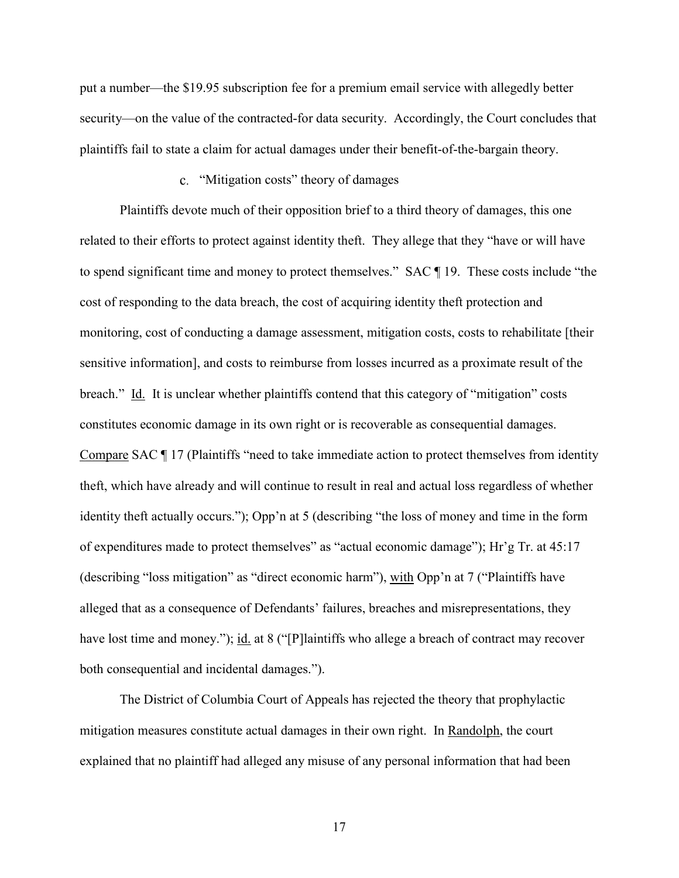put a number—the \$19.95 subscription fee for a premium email service with allegedly better security—on the value of the contracted-for data security. Accordingly, the Court concludes that plaintiffs fail to state a claim for actual damages under their benefit-of-the-bargain theory.

### c. "Mitigation costs" theory of damages

Plaintiffs devote much of their opposition brief to a third theory of damages, this one related to their efforts to protect against identity theft. They allege that they "have or will have to spend significant time and money to protect themselves." SAC ¶ 19. These costs include "the cost of responding to the data breach, the cost of acquiring identity theft protection and monitoring, cost of conducting a damage assessment, mitigation costs, costs to rehabilitate [their sensitive information], and costs to reimburse from losses incurred as a proximate result of the breach." Id. It is unclear whether plaintiffs contend that this category of "mitigation" costs constitutes economic damage in its own right or is recoverable as consequential damages. Compare SAC ¶ 17 (Plaintiffs "need to take immediate action to protect themselves from identity theft, which have already and will continue to result in real and actual loss regardless of whether identity theft actually occurs."); Opp'n at 5 (describing "the loss of money and time in the form of expenditures made to protect themselves" as "actual economic damage"); Hr'g Tr. at 45:17 (describing "loss mitigation" as "direct economic harm"), with Opp'n at 7 ("Plaintiffs have alleged that as a consequence of Defendants' failures, breaches and misrepresentations, they have lost time and money."); id. at 8 ("[P]laintiffs who allege a breach of contract may recover both consequential and incidental damages.").

The District of Columbia Court of Appeals has rejected the theory that prophylactic mitigation measures constitute actual damages in their own right. In Randolph, the court explained that no plaintiff had alleged any misuse of any personal information that had been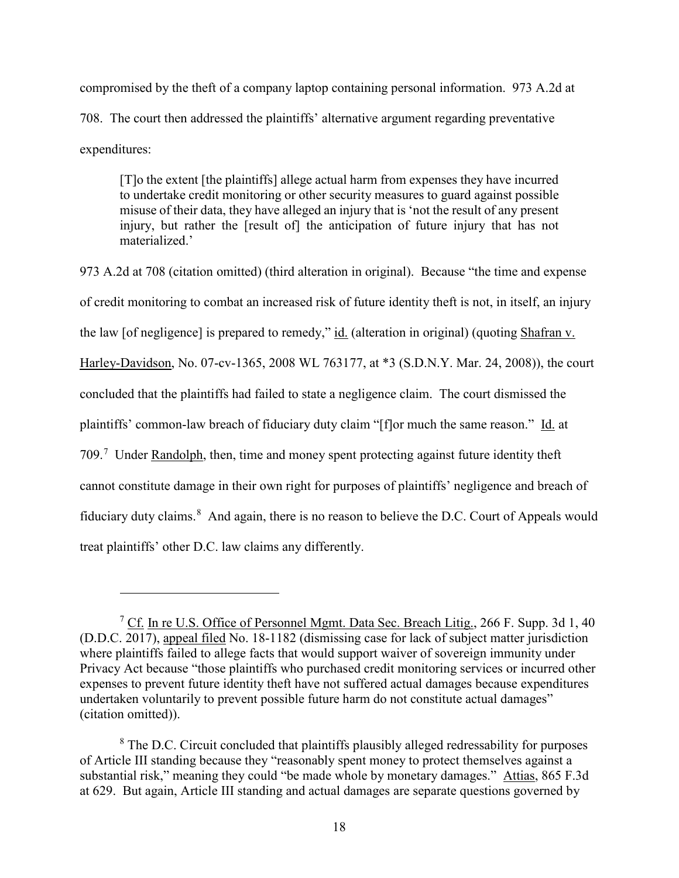compromised by the theft of a company laptop containing personal information. 973 A.2d at 708. The court then addressed the plaintiffs' alternative argument regarding preventative expenditures:

[T]o the extent [the plaintiffs] allege actual harm from expenses they have incurred to undertake credit monitoring or other security measures to guard against possible misuse of their data, they have alleged an injury that is 'not the result of any present injury, but rather the [result of] the anticipation of future injury that has not materialized.'

973 A.2d at 708 (citation omitted) (third alteration in original). Because "the time and expense of credit monitoring to combat an increased risk of future identity theft is not, in itself, an injury the law [of negligence] is prepared to remedy," id. (alteration in original) (quoting Shafran v. Harley-Davidson, No. 07-cv-1365, 2008 WL 763177, at \*3 (S.D.N.Y. Mar. 24, 2008)), the court concluded that the plaintiffs had failed to state a negligence claim. The court dismissed the plaintiffs' common-law breach of fiduciary duty claim "[f]or much the same reason." Id. at [7](#page-17-0)09.<sup>7</sup> Under Randolph, then, time and money spent protecting against future identity theft cannot constitute damage in their own right for purposes of plaintiffs' negligence and breach of fiduciary duty claims.<sup>[8](#page-17-1)</sup> And again, there is no reason to believe the D.C. Court of Appeals would treat plaintiffs' other D.C. law claims any differently.

<span id="page-17-0"></span><sup>7</sup> Cf. In re U.S. Office of Personnel Mgmt. Data Sec. Breach Litig., 266 F. Supp. 3d 1, 40 (D.D.C. 2017), appeal filed No. 18-1182 (dismissing case for lack of subject matter jurisdiction where plaintiffs failed to allege facts that would support waiver of sovereign immunity under Privacy Act because "those plaintiffs who purchased credit monitoring services or incurred other expenses to prevent future identity theft have not suffered actual damages because expenditures undertaken voluntarily to prevent possible future harm do not constitute actual damages" (citation omitted)).

<span id="page-17-1"></span><sup>&</sup>lt;sup>8</sup> The D.C. Circuit concluded that plaintiffs plausibly alleged redressability for purposes of Article III standing because they "reasonably spent money to protect themselves against a substantial risk," meaning they could "be made whole by monetary damages." Attias, 865 F.3d at 629. But again, Article III standing and actual damages are separate questions governed by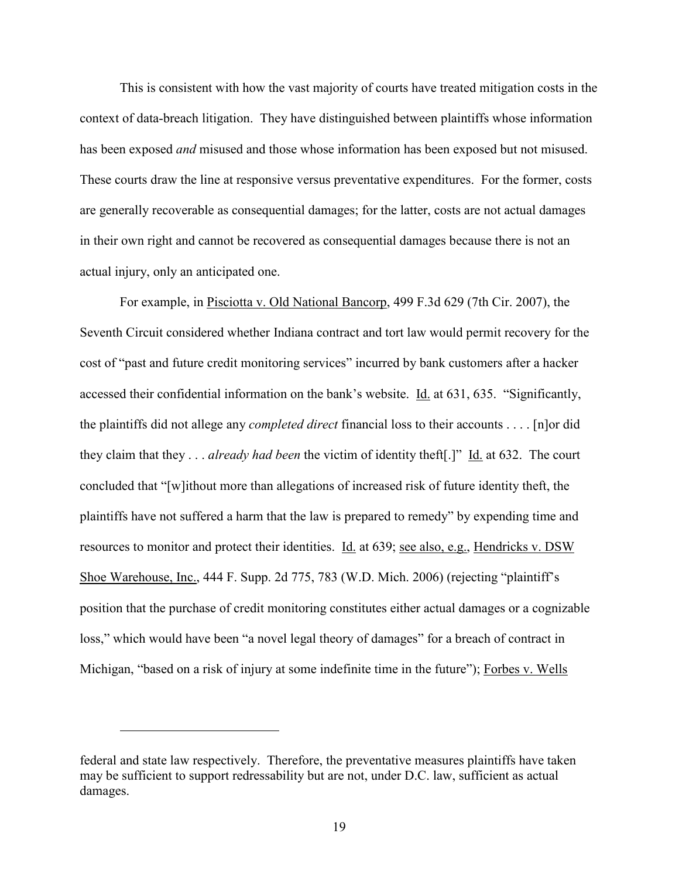This is consistent with how the vast majority of courts have treated mitigation costs in the context of data-breach litigation. They have distinguished between plaintiffs whose information has been exposed *and* misused and those whose information has been exposed but not misused. These courts draw the line at responsive versus preventative expenditures. For the former, costs are generally recoverable as consequential damages; for the latter, costs are not actual damages in their own right and cannot be recovered as consequential damages because there is not an actual injury, only an anticipated one.

For example, in Pisciotta v. Old National Bancorp, 499 F.3d 629 (7th Cir. 2007), the Seventh Circuit considered whether Indiana contract and tort law would permit recovery for the cost of "past and future credit monitoring services" incurred by bank customers after a hacker accessed their confidential information on the bank's website. Id. at 631, 635. "Significantly, the plaintiffs did not allege any *completed direct* financial loss to their accounts . . . . [n]or did they claim that they . . . *already had been* the victim of identity theft[.]" Id. at 632. The court concluded that "[w]ithout more than allegations of increased risk of future identity theft, the plaintiffs have not suffered a harm that the law is prepared to remedy" by expending time and resources to monitor and protect their identities. Id. at 639; see also, e.g., Hendricks v. DSW Shoe Warehouse, Inc., 444 F. Supp. 2d 775, 783 (W.D. Mich. 2006) (rejecting "plaintiff's position that the purchase of credit monitoring constitutes either actual damages or a cognizable loss," which would have been "a novel legal theory of damages" for a breach of contract in Michigan, "based on a risk of injury at some indefinite time in the future"); Forbes v. Wells

federal and state law respectively. Therefore, the preventative measures plaintiffs have taken may be sufficient to support redressability but are not, under D.C. law, sufficient as actual damages.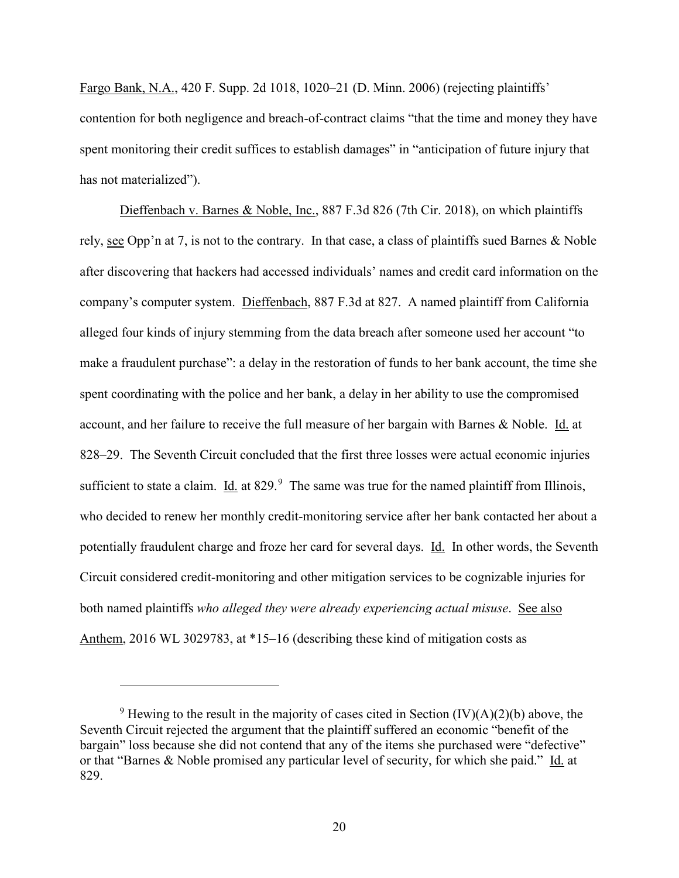Fargo Bank, N.A., 420 F. Supp. 2d 1018, 1020–21 (D. Minn. 2006) (rejecting plaintiffs' contention for both negligence and breach-of-contract claims "that the time and money they have spent monitoring their credit suffices to establish damages" in "anticipation of future injury that has not materialized").

Dieffenbach v. Barnes & Noble, Inc., 887 F.3d 826 (7th Cir. 2018), on which plaintiffs rely, see Opp'n at 7, is not to the contrary. In that case, a class of plaintiffs sued Barnes & Noble after discovering that hackers had accessed individuals' names and credit card information on the company's computer system. Dieffenbach, 887 F.3d at 827. A named plaintiff from California alleged four kinds of injury stemming from the data breach after someone used her account "to make a fraudulent purchase": a delay in the restoration of funds to her bank account, the time she spent coordinating with the police and her bank, a delay in her ability to use the compromised account, and her failure to receive the full measure of her bargain with Barnes & Noble. Id. at 828–29. The Seventh Circuit concluded that the first three losses were actual economic injuries sufficient to state a claim.  $\underline{Id}$  at 82[9](#page-19-0).<sup>9</sup> The same was true for the named plaintiff from Illinois, who decided to renew her monthly credit-monitoring service after her bank contacted her about a potentially fraudulent charge and froze her card for several days. Id. In other words, the Seventh Circuit considered credit-monitoring and other mitigation services to be cognizable injuries for both named plaintiffs *who alleged they were already experiencing actual misuse*. See also Anthem, 2016 WL 3029783, at \*15–16 (describing these kind of mitigation costs as

<span id="page-19-0"></span><sup>&</sup>lt;sup>9</sup> Hewing to the result in the majority of cases cited in Section  $(IV)(A)(2)(b)$  above, the Seventh Circuit rejected the argument that the plaintiff suffered an economic "benefit of the bargain" loss because she did not contend that any of the items she purchased were "defective" or that "Barnes & Noble promised any particular level of security, for which she paid." Id. at 829.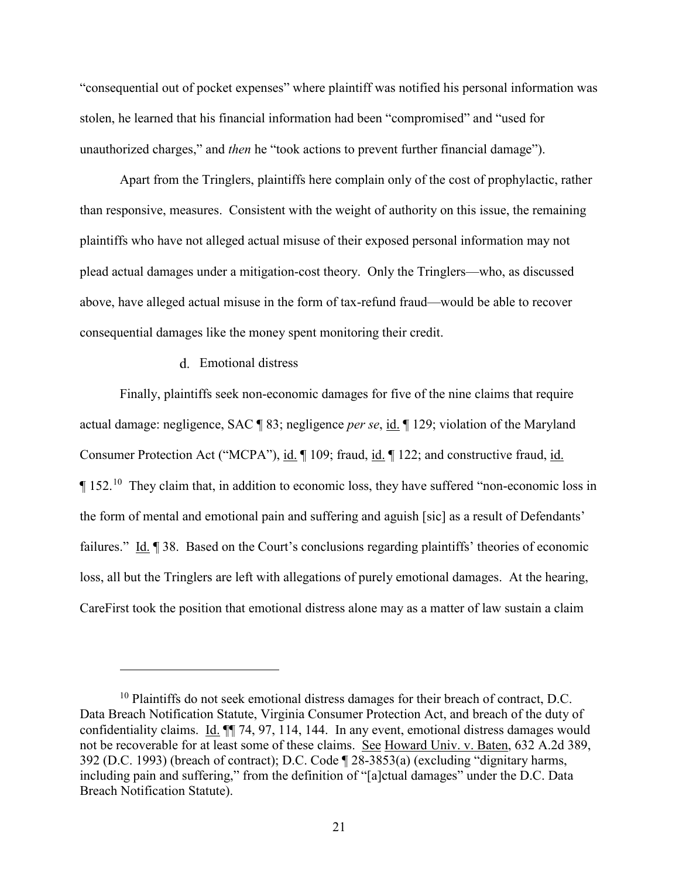"consequential out of pocket expenses" where plaintiff was notified his personal information was stolen, he learned that his financial information had been "compromised" and "used for unauthorized charges," and *then* he "took actions to prevent further financial damage").

Apart from the Tringlers, plaintiffs here complain only of the cost of prophylactic, rather than responsive, measures. Consistent with the weight of authority on this issue, the remaining plaintiffs who have not alleged actual misuse of their exposed personal information may not plead actual damages under a mitigation-cost theory. Only the Tringlers—who, as discussed above, have alleged actual misuse in the form of tax-refund fraud—would be able to recover consequential damages like the money spent monitoring their credit.

#### Emotional distress

 $\overline{a}$ 

Finally, plaintiffs seek non-economic damages for five of the nine claims that require actual damage: negligence, SAC ¶ 83; negligence *per se*, id. ¶ 129; violation of the Maryland Consumer Protection Act ("MCPA"), id. ¶ 109; fraud, id. ¶ 122; and constructive fraud, id.  $\P$  152.<sup>[10](#page-20-0)</sup> They claim that, in addition to economic loss, they have suffered "non-economic loss in the form of mental and emotional pain and suffering and aguish [sic] as a result of Defendants' failures." Id. ¶ 38. Based on the Court's conclusions regarding plaintiffs' theories of economic loss, all but the Tringlers are left with allegations of purely emotional damages. At the hearing, CareFirst took the position that emotional distress alone may as a matter of law sustain a claim

<span id="page-20-0"></span> $10$  Plaintiffs do not seek emotional distress damages for their breach of contract, D.C. Data Breach Notification Statute, Virginia Consumer Protection Act, and breach of the duty of confidentiality claims. Id. ¶¶ 74, 97, 114, 144. In any event, emotional distress damages would not be recoverable for at least some of these claims. See Howard Univ. v. Baten, 632 A.2d 389, 392 (D.C. 1993) (breach of contract); D.C. Code ¶ 28-3853(a) (excluding "dignitary harms, including pain and suffering," from the definition of "[a]ctual damages" under the D.C. Data Breach Notification Statute).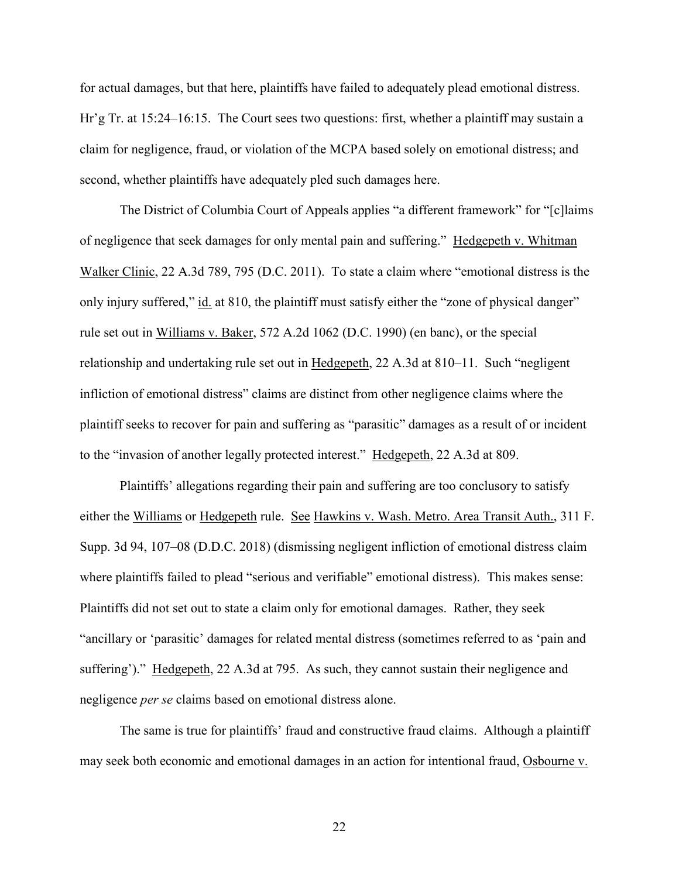for actual damages, but that here, plaintiffs have failed to adequately plead emotional distress. Hr'g Tr. at 15:24–16:15. The Court sees two questions: first, whether a plaintiff may sustain a claim for negligence, fraud, or violation of the MCPA based solely on emotional distress; and second, whether plaintiffs have adequately pled such damages here.

The District of Columbia Court of Appeals applies "a different framework" for "[c]laims of negligence that seek damages for only mental pain and suffering." Hedgepeth v. Whitman Walker Clinic, 22 A.3d 789, 795 (D.C. 2011). To state a claim where "emotional distress is the only injury suffered," id. at 810, the plaintiff must satisfy either the "zone of physical danger" rule set out in Williams v. Baker, 572 A.2d 1062 (D.C. 1990) (en banc), or the special relationship and undertaking rule set out in Hedgepeth, 22 A.3d at 810–11. Such "negligent infliction of emotional distress" claims are distinct from other negligence claims where the plaintiff seeks to recover for pain and suffering as "parasitic" damages as a result of or incident to the "invasion of another legally protected interest." Hedgepeth, 22 A.3d at 809.

Plaintiffs' allegations regarding their pain and suffering are too conclusory to satisfy either the Williams or Hedgepeth rule. See Hawkins v. Wash. Metro. Area Transit Auth., 311 F. Supp. 3d 94, 107–08 (D.D.C. 2018) (dismissing negligent infliction of emotional distress claim where plaintiffs failed to plead "serious and verifiable" emotional distress). This makes sense: Plaintiffs did not set out to state a claim only for emotional damages. Rather, they seek "ancillary or 'parasitic' damages for related mental distress (sometimes referred to as 'pain and suffering')." Hedgepeth, 22 A.3d at 795. As such, they cannot sustain their negligence and negligence *per se* claims based on emotional distress alone.

The same is true for plaintiffs' fraud and constructive fraud claims. Although a plaintiff may seek both economic and emotional damages in an action for intentional fraud, Osbourne v.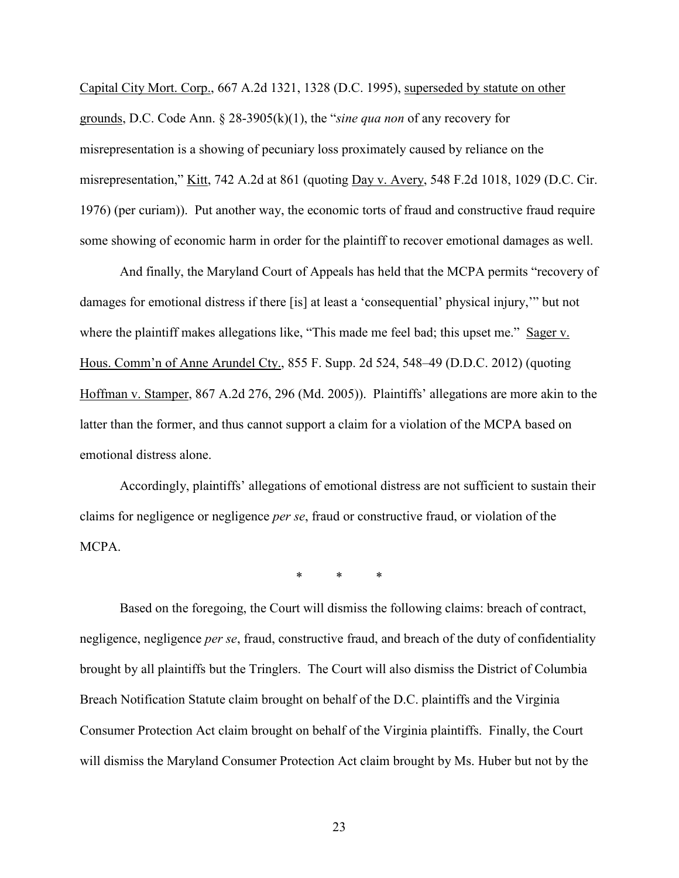Capital City Mort. Corp., 667 A.2d 1321, 1328 (D.C. 1995), superseded by statute on other grounds, D.C. Code Ann. § 28-3905(k)(1), the "*sine qua non* of any recovery for misrepresentation is a showing of pecuniary loss proximately caused by reliance on the misrepresentation," Kitt, 742 A.2d at 861 (quoting Day v. Avery, 548 F.2d 1018, 1029 (D.C. Cir. 1976) (per curiam)). Put another way, the economic torts of fraud and constructive fraud require some showing of economic harm in order for the plaintiff to recover emotional damages as well.

And finally, the Maryland Court of Appeals has held that the MCPA permits "recovery of damages for emotional distress if there [is] at least a 'consequential' physical injury,'" but not where the plaintiff makes allegations like, "This made me feel bad; this upset me." Sager v. Hous. Comm'n of Anne Arundel Cty., 855 F. Supp. 2d 524, 548–49 (D.D.C. 2012) (quoting Hoffman v. Stamper, 867 A.2d 276, 296 (Md. 2005)). Plaintiffs' allegations are more akin to the latter than the former, and thus cannot support a claim for a violation of the MCPA based on emotional distress alone.

Accordingly, plaintiffs' allegations of emotional distress are not sufficient to sustain their claims for negligence or negligence *per se*, fraud or constructive fraud, or violation of the MCPA.

\* \* \*

Based on the foregoing, the Court will dismiss the following claims: breach of contract, negligence, negligence *per se*, fraud, constructive fraud, and breach of the duty of confidentiality brought by all plaintiffs but the Tringlers. The Court will also dismiss the District of Columbia Breach Notification Statute claim brought on behalf of the D.C. plaintiffs and the Virginia Consumer Protection Act claim brought on behalf of the Virginia plaintiffs. Finally, the Court will dismiss the Maryland Consumer Protection Act claim brought by Ms. Huber but not by the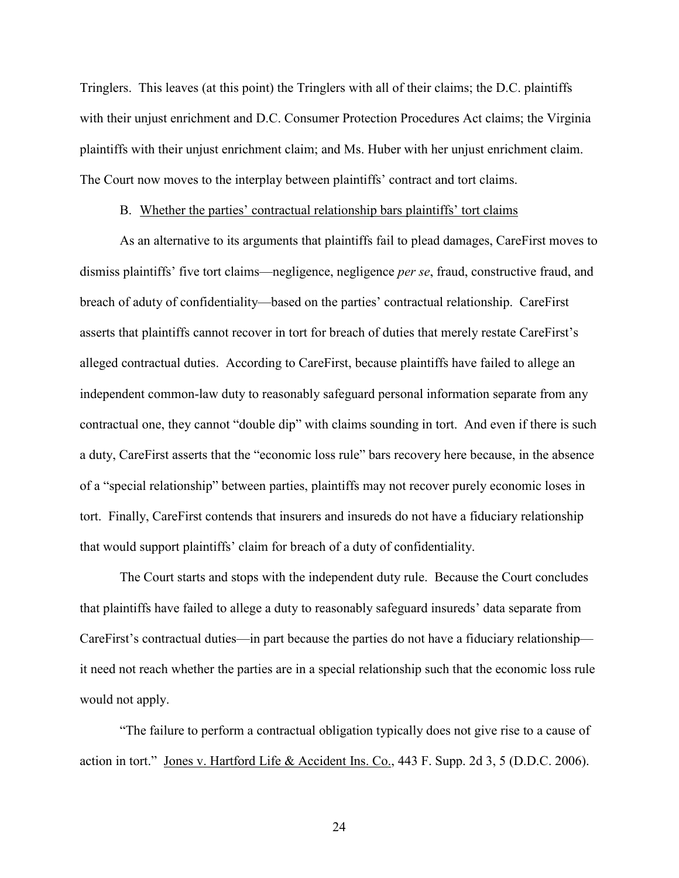Tringlers. This leaves (at this point) the Tringlers with all of their claims; the D.C. plaintiffs with their unjust enrichment and D.C. Consumer Protection Procedures Act claims; the Virginia plaintiffs with their unjust enrichment claim; and Ms. Huber with her unjust enrichment claim. The Court now moves to the interplay between plaintiffs' contract and tort claims.

### B. Whether the parties' contractual relationship bars plaintiffs' tort claims

<span id="page-23-0"></span>As an alternative to its arguments that plaintiffs fail to plead damages, CareFirst moves to dismiss plaintiffs' five tort claims—negligence, negligence *per se*, fraud, constructive fraud, and breach of aduty of confidentiality—based on the parties' contractual relationship. CareFirst asserts that plaintiffs cannot recover in tort for breach of duties that merely restate CareFirst's alleged contractual duties. According to CareFirst, because plaintiffs have failed to allege an independent common-law duty to reasonably safeguard personal information separate from any contractual one, they cannot "double dip" with claims sounding in tort. And even if there is such a duty, CareFirst asserts that the "economic loss rule" bars recovery here because, in the absence of a "special relationship" between parties, plaintiffs may not recover purely economic loses in tort. Finally, CareFirst contends that insurers and insureds do not have a fiduciary relationship that would support plaintiffs' claim for breach of a duty of confidentiality.

The Court starts and stops with the independent duty rule. Because the Court concludes that plaintiffs have failed to allege a duty to reasonably safeguard insureds' data separate from CareFirst's contractual duties—in part because the parties do not have a fiduciary relationship it need not reach whether the parties are in a special relationship such that the economic loss rule would not apply.

"The failure to perform a contractual obligation typically does not give rise to a cause of action in tort." Jones v. Hartford Life & Accident Ins. Co., 443 F. Supp. 2d 3, 5 (D.D.C. 2006).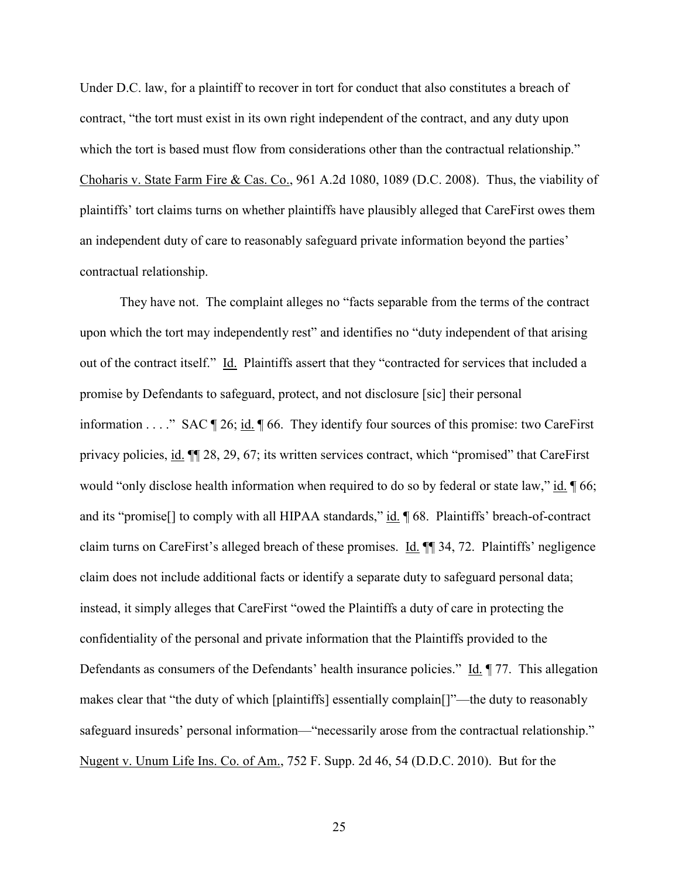Under D.C. law, for a plaintiff to recover in tort for conduct that also constitutes a breach of contract, "the tort must exist in its own right independent of the contract, and any duty upon which the tort is based must flow from considerations other than the contractual relationship." Choharis v. State Farm Fire & Cas. Co., 961 A.2d 1080, 1089 (D.C. 2008). Thus, the viability of plaintiffs' tort claims turns on whether plaintiffs have plausibly alleged that CareFirst owes them an independent duty of care to reasonably safeguard private information beyond the parties' contractual relationship.

They have not. The complaint alleges no "facts separable from the terms of the contract upon which the tort may independently rest" and identifies no "duty independent of that arising out of the contract itself." Id. Plaintiffs assert that they "contracted for services that included a promise by Defendants to safeguard, protect, and not disclosure [sic] their personal information . . . ." SAC  $\P$  26; id.  $\P$  66. They identify four sources of this promise: two CareFirst privacy policies, id. ¶¶ 28, 29, 67; its written services contract, which "promised" that CareFirst would "only disclose health information when required to do so by federal or state law," id.  $\parallel$  66; and its "promise<sup>[]</sup> to comply with all HIPAA standards," id. ¶ 68. Plaintiffs' breach-of-contract claim turns on CareFirst's alleged breach of these promises. Id. ¶¶ 34, 72. Plaintiffs' negligence claim does not include additional facts or identify a separate duty to safeguard personal data; instead, it simply alleges that CareFirst "owed the Plaintiffs a duty of care in protecting the confidentiality of the personal and private information that the Plaintiffs provided to the Defendants as consumers of the Defendants' health insurance policies." Id.  $\P$  77. This allegation makes clear that "the duty of which [plaintiffs] essentially complain[]"—the duty to reasonably safeguard insureds' personal information—"necessarily arose from the contractual relationship." Nugent v. Unum Life Ins. Co. of Am., 752 F. Supp. 2d 46, 54 (D.D.C. 2010). But for the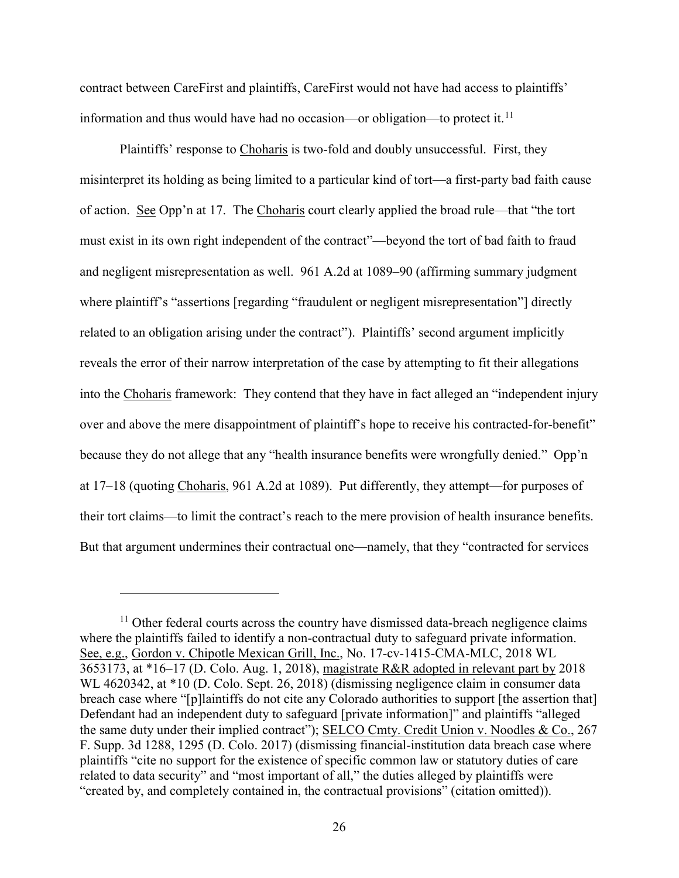contract between CareFirst and plaintiffs, CareFirst would not have had access to plaintiffs' information and thus would have had no occasion—or obligation—to protect it.<sup>11</sup>

Plaintiffs' response to Choharis is two-fold and doubly unsuccessful. First, they misinterpret its holding as being limited to a particular kind of tort—a first-party bad faith cause of action. See Opp'n at 17. The Choharis court clearly applied the broad rule—that "the tort must exist in its own right independent of the contract"—beyond the tort of bad faith to fraud and negligent misrepresentation as well. 961 A.2d at 1089–90 (affirming summary judgment where plaintiff's "assertions [regarding "fraudulent or negligent misrepresentation"] directly related to an obligation arising under the contract"). Plaintiffs' second argument implicitly reveals the error of their narrow interpretation of the case by attempting to fit their allegations into the Choharis framework: They contend that they have in fact alleged an "independent injury over and above the mere disappointment of plaintiff's hope to receive his contracted-for-benefit" because they do not allege that any "health insurance benefits were wrongfully denied." Opp'n at 17–18 (quoting Choharis, 961 A.2d at 1089). Put differently, they attempt—for purposes of their tort claims—to limit the contract's reach to the mere provision of health insurance benefits. But that argument undermines their contractual one—namely, that they "contracted for services

<span id="page-25-0"></span> $11$  Other federal courts across the country have dismissed data-breach negligence claims where the plaintiffs failed to identify a non-contractual duty to safeguard private information. See, e.g., Gordon v. Chipotle Mexican Grill, Inc., No. 17-cv-1415-CMA-MLC, 2018 WL 3653173, at \*16–17 (D. Colo. Aug. 1, 2018), magistrate R&R adopted in relevant part by 2018 WL 4620342, at \*10 (D. Colo. Sept. 26, 2018) (dismissing negligence claim in consumer data breach case where "[p]laintiffs do not cite any Colorado authorities to support [the assertion that] Defendant had an independent duty to safeguard [private information]" and plaintiffs "alleged the same duty under their implied contract"); SELCO Cmty. Credit Union v. Noodles & Co., 267 F. Supp. 3d 1288, 1295 (D. Colo. 2017) (dismissing financial-institution data breach case where plaintiffs "cite no support for the existence of specific common law or statutory duties of care related to data security" and "most important of all," the duties alleged by plaintiffs were "created by, and completely contained in, the contractual provisions" (citation omitted)).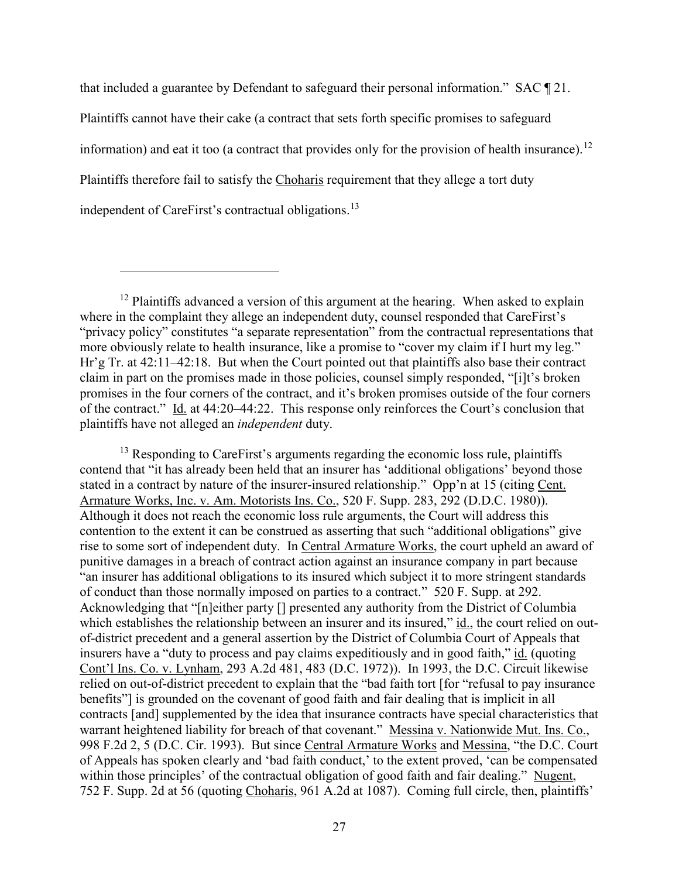that included a guarantee by Defendant to safeguard their personal information." SAC ¶ 21.

Plaintiffs cannot have their cake (a contract that sets forth specific promises to safeguard

information) and eat it too (a contract that provides only for the provision of health insurance).<sup>[12](#page-26-0)</sup>

Plaintiffs therefore fail to satisfy the Choharis requirement that they allege a tort duty

independent of CareFirst's contractual obligations.<sup>[13](#page-26-1)</sup>

 $\overline{a}$ 

<span id="page-26-1"></span> $13$  Responding to CareFirst's arguments regarding the economic loss rule, plaintiffs contend that "it has already been held that an insurer has 'additional obligations' beyond those stated in a contract by nature of the insurer-insured relationship." Opp'n at 15 (citing Cent. Armature Works, Inc. v. Am. Motorists Ins. Co., 520 F. Supp. 283, 292 (D.D.C. 1980)). Although it does not reach the economic loss rule arguments, the Court will address this contention to the extent it can be construed as asserting that such "additional obligations" give rise to some sort of independent duty. In Central Armature Works, the court upheld an award of punitive damages in a breach of contract action against an insurance company in part because "an insurer has additional obligations to its insured which subject it to more stringent standards of conduct than those normally imposed on parties to a contract." 520 F. Supp. at 292. Acknowledging that "[n]either party [] presented any authority from the District of Columbia which establishes the relationship between an insurer and its insured," id., the court relied on outof-district precedent and a general assertion by the District of Columbia Court of Appeals that insurers have a "duty to process and pay claims expeditiously and in good faith," id. (quoting Cont'l Ins. Co. v. Lynham, 293 A.2d 481, 483 (D.C. 1972)). In 1993, the D.C. Circuit likewise relied on out-of-district precedent to explain that the "bad faith tort [for "refusal to pay insurance benefits"] is grounded on the covenant of good faith and fair dealing that is implicit in all contracts [and] supplemented by the idea that insurance contracts have special characteristics that warrant heightened liability for breach of that covenant." Messina v. Nationwide Mut. Ins. Co., 998 F.2d 2, 5 (D.C. Cir. 1993). But since Central Armature Works and Messina, "the D.C. Court of Appeals has spoken clearly and 'bad faith conduct,' to the extent proved, 'can be compensated within those principles' of the contractual obligation of good faith and fair dealing." Nugent, 752 F. Supp. 2d at 56 (quoting Choharis, 961 A.2d at 1087). Coming full circle, then, plaintiffs'

<span id="page-26-0"></span> $12$  Plaintiffs advanced a version of this argument at the hearing. When asked to explain where in the complaint they allege an independent duty, counsel responded that CareFirst's "privacy policy" constitutes "a separate representation" from the contractual representations that more obviously relate to health insurance, like a promise to "cover my claim if I hurt my leg." Hr'g Tr. at 42:11–42:18. But when the Court pointed out that plaintiffs also base their contract claim in part on the promises made in those policies, counsel simply responded, "[i]t's broken promises in the four corners of the contract, and it's broken promises outside of the four corners of the contract." Id. at 44:20–44:22. This response only reinforces the Court's conclusion that plaintiffs have not alleged an *independent* duty.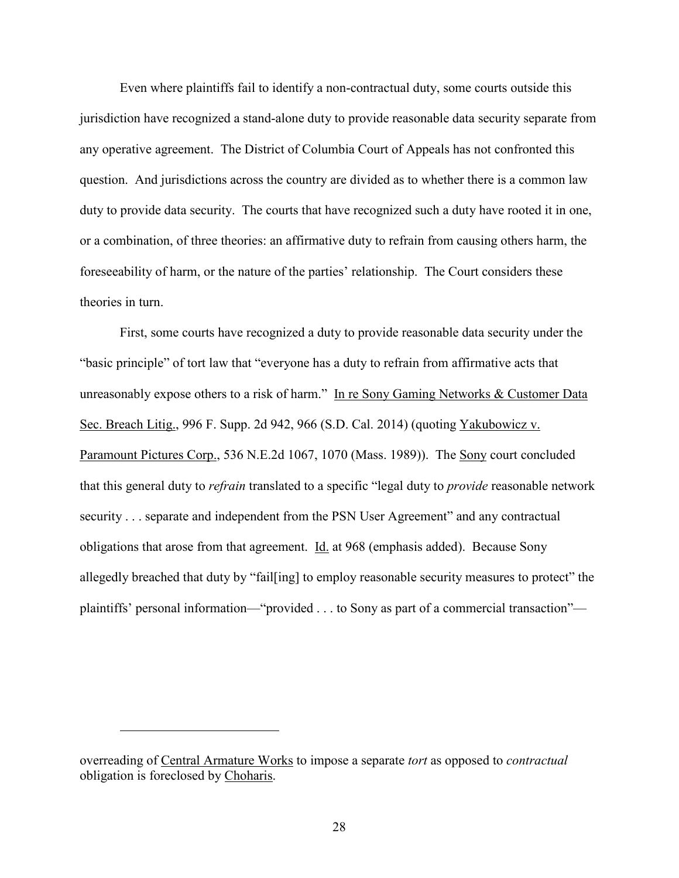Even where plaintiffs fail to identify a non-contractual duty, some courts outside this jurisdiction have recognized a stand-alone duty to provide reasonable data security separate from any operative agreement. The District of Columbia Court of Appeals has not confronted this question. And jurisdictions across the country are divided as to whether there is a common law duty to provide data security. The courts that have recognized such a duty have rooted it in one, or a combination, of three theories: an affirmative duty to refrain from causing others harm, the foreseeability of harm, or the nature of the parties' relationship. The Court considers these theories in turn.

First, some courts have recognized a duty to provide reasonable data security under the "basic principle" of tort law that "everyone has a duty to refrain from affirmative acts that unreasonably expose others to a risk of harm." In re Sony Gaming Networks & Customer Data Sec. Breach Litig., 996 F. Supp. 2d 942, 966 (S.D. Cal. 2014) (quoting Yakubowicz v. Paramount Pictures Corp., 536 N.E.2d 1067, 1070 (Mass. 1989)). The Sony court concluded that this general duty to *refrain* translated to a specific "legal duty to *provide* reasonable network security . . . separate and independent from the PSN User Agreement" and any contractual obligations that arose from that agreement.  $\underline{Id}$  at 968 (emphasis added). Because Sony allegedly breached that duty by "fail[ing] to employ reasonable security measures to protect" the plaintiffs' personal information—"provided . . . to Sony as part of a commercial transaction"—

overreading of Central Armature Works to impose a separate *tort* as opposed to *contractual* obligation is foreclosed by Choharis.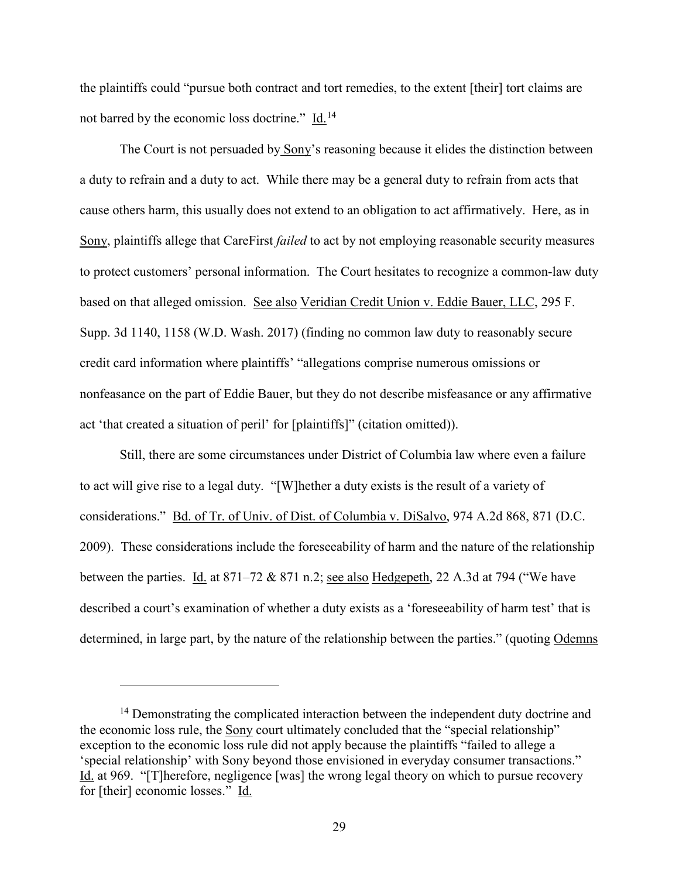the plaintiffs could "pursue both contract and tort remedies, to the extent [their] tort claims are not barred by the economic loss doctrine." Id.[14](#page-28-0)

The Court is not persuaded by Sony's reasoning because it elides the distinction between a duty to refrain and a duty to act. While there may be a general duty to refrain from acts that cause others harm, this usually does not extend to an obligation to act affirmatively. Here, as in Sony, plaintiffs allege that CareFirst *failed* to act by not employing reasonable security measures to protect customers' personal information. The Court hesitates to recognize a common-law duty based on that alleged omission. See also Veridian Credit Union v. Eddie Bauer, LLC, 295 F. Supp. 3d 1140, 1158 (W.D. Wash. 2017) (finding no common law duty to reasonably secure credit card information where plaintiffs' "allegations comprise numerous omissions or nonfeasance on the part of Eddie Bauer, but they do not describe misfeasance or any affirmative act 'that created a situation of peril' for [plaintiffs]" (citation omitted)).

Still, there are some circumstances under District of Columbia law where even a failure to act will give rise to a legal duty. "[W]hether a duty exists is the result of a variety of considerations." Bd. of Tr. of Univ. of Dist. of Columbia v. DiSalvo, 974 A.2d 868, 871 (D.C. 2009). These considerations include the foreseeability of harm and the nature of the relationship between the parties. Id. at 871–72 & 871 n.2; <u>see also Hedgepeth</u>, 22 A.3d at 794 ("We have described a court's examination of whether a duty exists as a 'foreseeability of harm test' that is determined, in large part, by the nature of the relationship between the parties." (quoting Odemns

<span id="page-28-0"></span><sup>&</sup>lt;sup>14</sup> Demonstrating the complicated interaction between the independent duty doctrine and the economic loss rule, the Sony court ultimately concluded that the "special relationship" exception to the economic loss rule did not apply because the plaintiffs "failed to allege a 'special relationship' with Sony beyond those envisioned in everyday consumer transactions." Id. at 969. "[T]herefore, negligence [was] the wrong legal theory on which to pursue recovery for [their] economic losses." Id.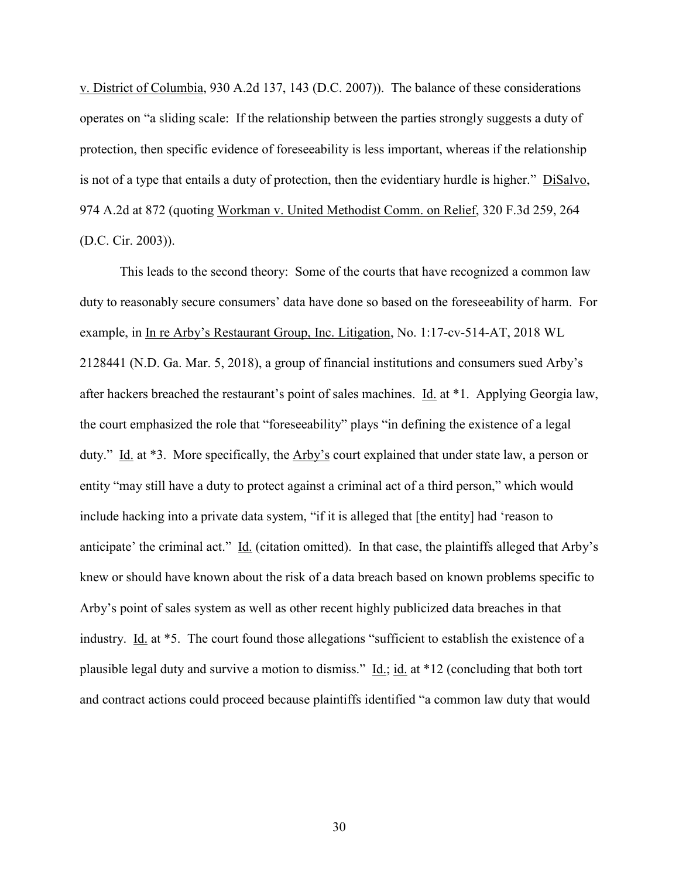v. District of Columbia, 930 A.2d 137, 143 (D.C. 2007)). The balance of these considerations operates on "a sliding scale: If the relationship between the parties strongly suggests a duty of protection, then specific evidence of foreseeability is less important, whereas if the relationship is not of a type that entails a duty of protection, then the evidentiary hurdle is higher." DiSalvo, 974 A.2d at 872 (quoting Workman v. United Methodist Comm. on Relief, 320 F.3d 259, 264 (D.C. Cir. 2003)).

This leads to the second theory: Some of the courts that have recognized a common law duty to reasonably secure consumers' data have done so based on the foreseeability of harm. For example, in In re Arby's Restaurant Group, Inc. Litigation, No. 1:17-cv-514-AT, 2018 WL 2128441 (N.D. Ga. Mar. 5, 2018), a group of financial institutions and consumers sued Arby's after hackers breached the restaurant's point of sales machines. Id. at \*1. Applying Georgia law, the court emphasized the role that "foreseeability" plays "in defining the existence of a legal duty." Id. at \*3. More specifically, the Arby's court explained that under state law, a person or entity "may still have a duty to protect against a criminal act of a third person," which would include hacking into a private data system, "if it is alleged that [the entity] had 'reason to anticipate' the criminal act." Id. (citation omitted). In that case, the plaintiffs alleged that Arby's knew or should have known about the risk of a data breach based on known problems specific to Arby's point of sales system as well as other recent highly publicized data breaches in that industry. Id. at \*5. The court found those allegations "sufficient to establish the existence of a plausible legal duty and survive a motion to dismiss."  $\underline{Id}$ : id. at \*12 (concluding that both tort and contract actions could proceed because plaintiffs identified "a common law duty that would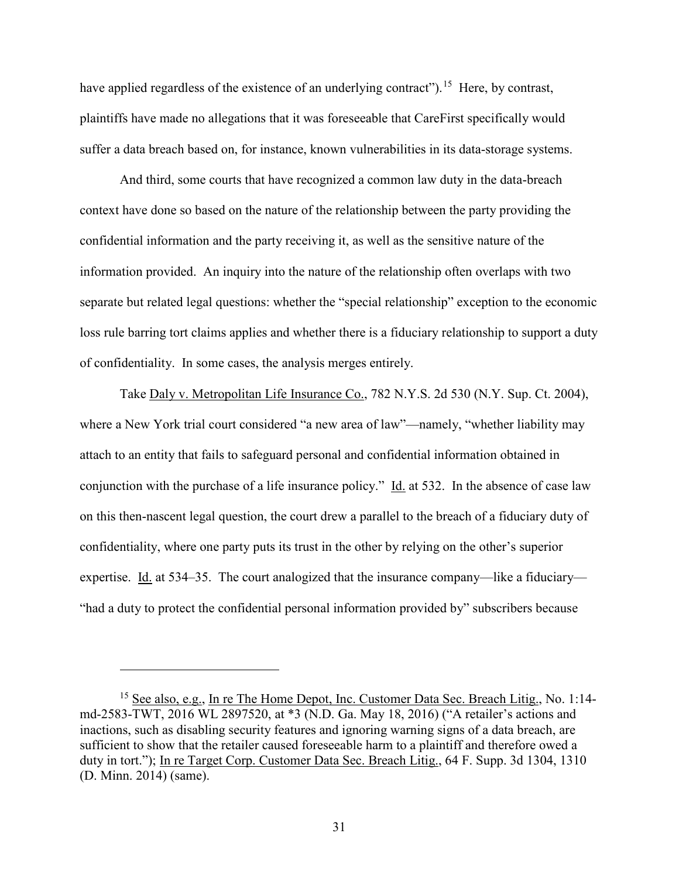have applied regardless of the existence of an underlying contract").<sup>15</sup> Here, by contrast, plaintiffs have made no allegations that it was foreseeable that CareFirst specifically would suffer a data breach based on, for instance, known vulnerabilities in its data-storage systems.

And third, some courts that have recognized a common law duty in the data-breach context have done so based on the nature of the relationship between the party providing the confidential information and the party receiving it, as well as the sensitive nature of the information provided. An inquiry into the nature of the relationship often overlaps with two separate but related legal questions: whether the "special relationship" exception to the economic loss rule barring tort claims applies and whether there is a fiduciary relationship to support a duty of confidentiality. In some cases, the analysis merges entirely.

Take Daly v. Metropolitan Life Insurance Co., 782 N.Y.S. 2d 530 (N.Y. Sup. Ct. 2004), where a New York trial court considered "a new area of law"—namely, "whether liability may attach to an entity that fails to safeguard personal and confidential information obtained in conjunction with the purchase of a life insurance policy." Id. at 532. In the absence of case law on this then-nascent legal question, the court drew a parallel to the breach of a fiduciary duty of confidentiality, where one party puts its trust in the other by relying on the other's superior expertise. Id. at 534–35. The court analogized that the insurance company—like a fiduciary— "had a duty to protect the confidential personal information provided by" subscribers because

<span id="page-30-0"></span><sup>&</sup>lt;sup>15</sup> See also, e.g., In re The Home Depot, Inc. Customer Data Sec. Breach Litig., No. 1:14md-2583-TWT, 2016 WL 2897520, at \*3 (N.D. Ga. May 18, 2016) ("A retailer's actions and inactions, such as disabling security features and ignoring warning signs of a data breach, are sufficient to show that the retailer caused foreseeable harm to a plaintiff and therefore owed a duty in tort."); In re Target Corp. Customer Data Sec. Breach Litig., 64 F. Supp. 3d 1304, 1310 (D. Minn. 2014) (same).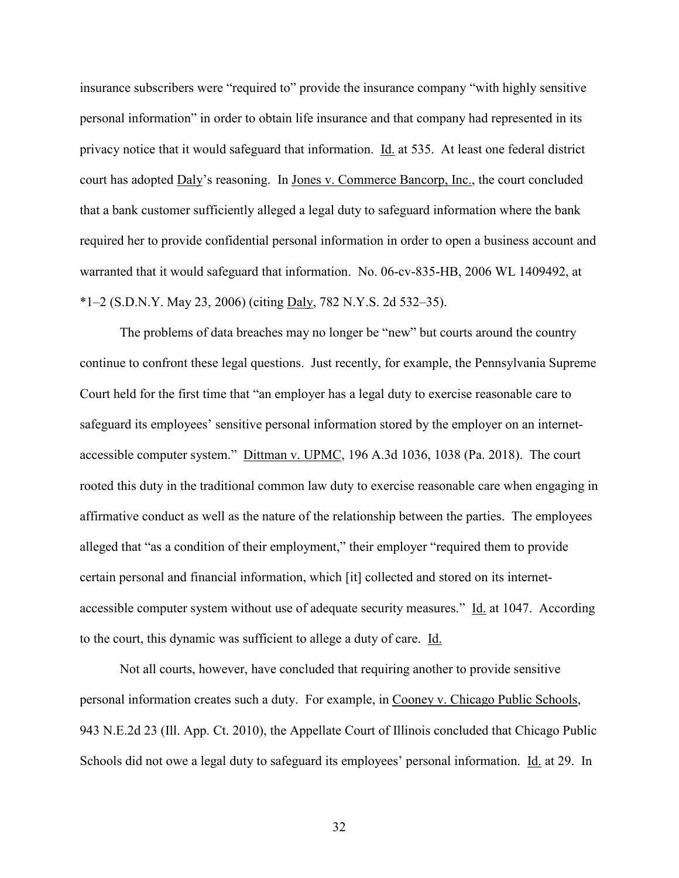insurance subscribers were "required to" provide the insurance company "with highly sensitive personal information" in order to obtain life insurance and that company had represented in its privacy notice that it would safeguard that information. Id. at 535. At least one federal district court has adopted Daly's reasoning. In Jones v. Commerce Bancorp, Inc., the court concluded that a bank customer sufficiently alleged a legal duty to safeguard information where the bank required her to provide confidential personal information in order to open a business account and warranted that it would safeguard that information. No. 06-cv-835-HB, 2006 WL 1409492, at \*1–2 (S.D.N.Y. May 23, 2006) (citing Daly, 782 N.Y.S. 2d 532–35).

The problems of data breaches may no longer be "new" but courts around the country continue to confront these legal questions. Just recently, for example, the Pennsylvania Supreme Court held for the first time that "an employer has a legal duty to exercise reasonable care to safeguard its employees' sensitive personal information stored by the employer on an internetaccessible computer system." Dittman v. UPMC, 196 A.3d 1036, 1038 (Pa. 2018). The court rooted this duty in the traditional common law duty to exercise reasonable care when engaging in affirmative conduct as well as the nature of the relationship between the parties. The employees alleged that "as a condition of their employment," their employer "required them to provide certain personal and financial information, which [it] collected and stored on its internetaccessible computer system without use of adequate security measures." Id. at 1047. According to the court, this dynamic was sufficient to allege a duty of care. Id.

Not all courts, however, have concluded that requiring another to provide sensitive personal information creates such a duty. For example, in Cooney v. Chicago Public Schools, 943 N.E.2d 23 (Ill. App. Ct. 2010), the Appellate Court of Illinois concluded that Chicago Public Schools did not owe a legal duty to safeguard its employees' personal information. Id. at 29. In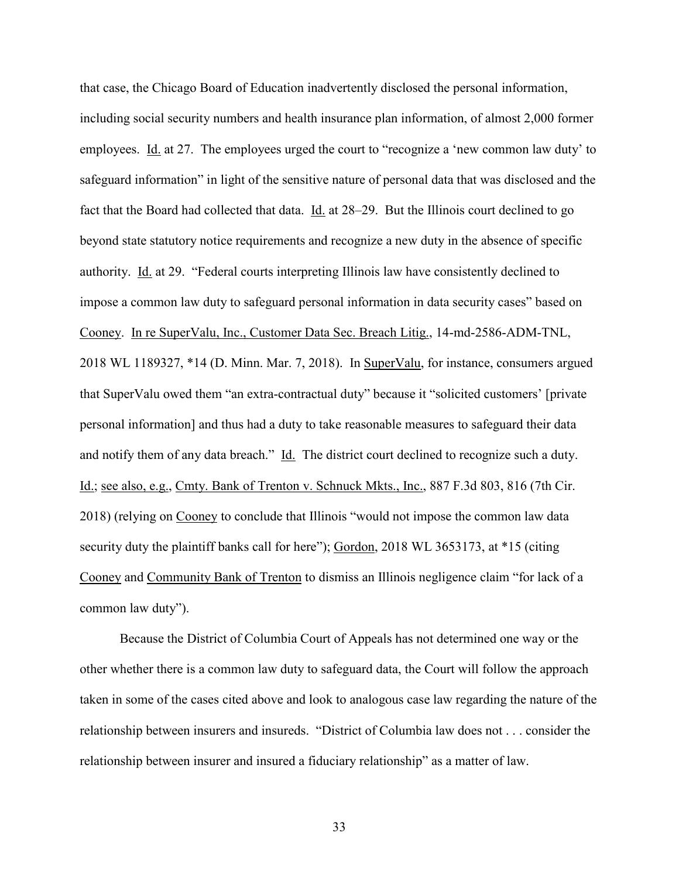that case, the Chicago Board of Education inadvertently disclosed the personal information, including social security numbers and health insurance plan information, of almost 2,000 former employees. Id. at 27. The employees urged the court to "recognize a 'new common law duty' to safeguard information" in light of the sensitive nature of personal data that was disclosed and the fact that the Board had collected that data. Id. at 28–29. But the Illinois court declined to go beyond state statutory notice requirements and recognize a new duty in the absence of specific authority. Id. at 29. "Federal courts interpreting Illinois law have consistently declined to impose a common law duty to safeguard personal information in data security cases" based on Cooney. In re SuperValu, Inc., Customer Data Sec. Breach Litig., 14-md-2586-ADM-TNL, 2018 WL 1189327, \*14 (D. Minn. Mar. 7, 2018). In SuperValu, for instance, consumers argued that SuperValu owed them "an extra-contractual duty" because it "solicited customers' [private personal information] and thus had a duty to take reasonable measures to safeguard their data and notify them of any data breach." Id. The district court declined to recognize such a duty. Id.; see also, e.g., Cmty. Bank of Trenton v. Schnuck Mkts., Inc., 887 F.3d 803, 816 (7th Cir. 2018) (relying on Cooney to conclude that Illinois "would not impose the common law data security duty the plaintiff banks call for here"); Gordon, 2018 WL 3653173, at \*15 (citing Cooney and Community Bank of Trenton to dismiss an Illinois negligence claim "for lack of a common law duty").

Because the District of Columbia Court of Appeals has not determined one way or the other whether there is a common law duty to safeguard data, the Court will follow the approach taken in some of the cases cited above and look to analogous case law regarding the nature of the relationship between insurers and insureds. "District of Columbia law does not . . . consider the relationship between insurer and insured a fiduciary relationship" as a matter of law.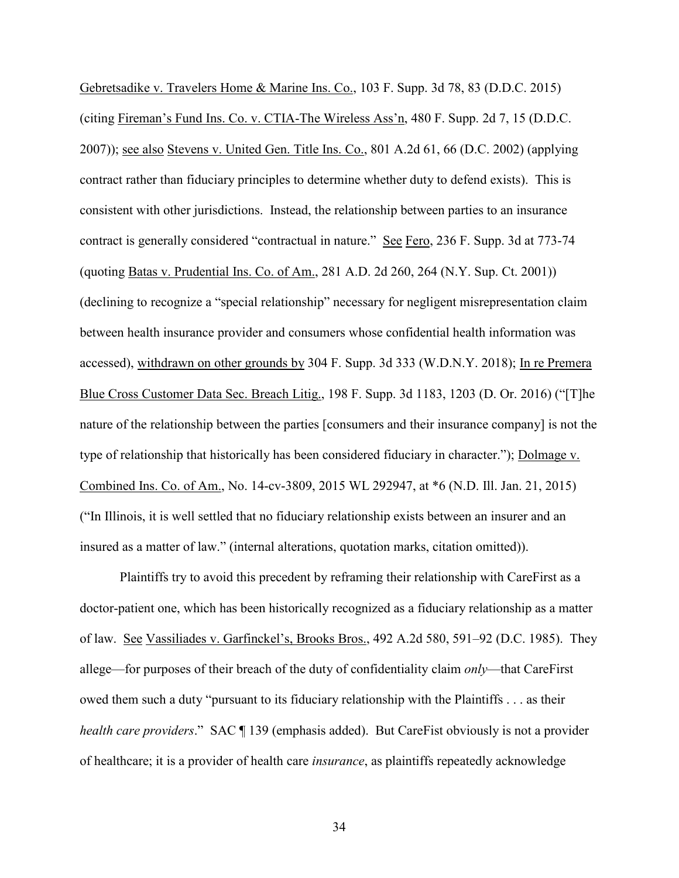Gebretsadike v. Travelers Home & Marine Ins. Co., 103 F. Supp. 3d 78, 83 (D.D.C. 2015) (citing Fireman's Fund Ins. Co. v. CTIA-The Wireless Ass'n, 480 F. Supp. 2d 7, 15 (D.D.C. 2007)); see also Stevens v. United Gen. Title Ins. Co., 801 A.2d 61, 66 (D.C. 2002) (applying contract rather than fiduciary principles to determine whether duty to defend exists). This is consistent with other jurisdictions. Instead, the relationship between parties to an insurance contract is generally considered "contractual in nature." See Fero, 236 F. Supp. 3d at 773-74 (quoting Batas v. Prudential Ins. Co. of Am., 281 A.D. 2d 260, 264 (N.Y. Sup. Ct. 2001)) (declining to recognize a "special relationship" necessary for negligent misrepresentation claim between health insurance provider and consumers whose confidential health information was accessed), withdrawn on other grounds by 304 F. Supp. 3d 333 (W.D.N.Y. 2018); In re Premera Blue Cross Customer Data Sec. Breach Litig., 198 F. Supp. 3d 1183, 1203 (D. Or. 2016) ("[T]he nature of the relationship between the parties [consumers and their insurance company] is not the type of relationship that historically has been considered fiduciary in character."); Dolmage v. Combined Ins. Co. of Am., No. 14-cv-3809, 2015 WL 292947, at \*6 (N.D. Ill. Jan. 21, 2015) ("In Illinois, it is well settled that no fiduciary relationship exists between an insurer and an insured as a matter of law." (internal alterations, quotation marks, citation omitted)).

Plaintiffs try to avoid this precedent by reframing their relationship with CareFirst as a doctor-patient one, which has been historically recognized as a fiduciary relationship as a matter of law. See Vassiliades v. Garfinckel's, Brooks Bros., 492 A.2d 580, 591–92 (D.C. 1985). They allege—for purposes of their breach of the duty of confidentiality claim *only*—that CareFirst owed them such a duty "pursuant to its fiduciary relationship with the Plaintiffs . . . as their *health care providers.*" SAC ¶ 139 (emphasis added). But CareFist obviously is not a provider of healthcare; it is a provider of health care *insurance*, as plaintiffs repeatedly acknowledge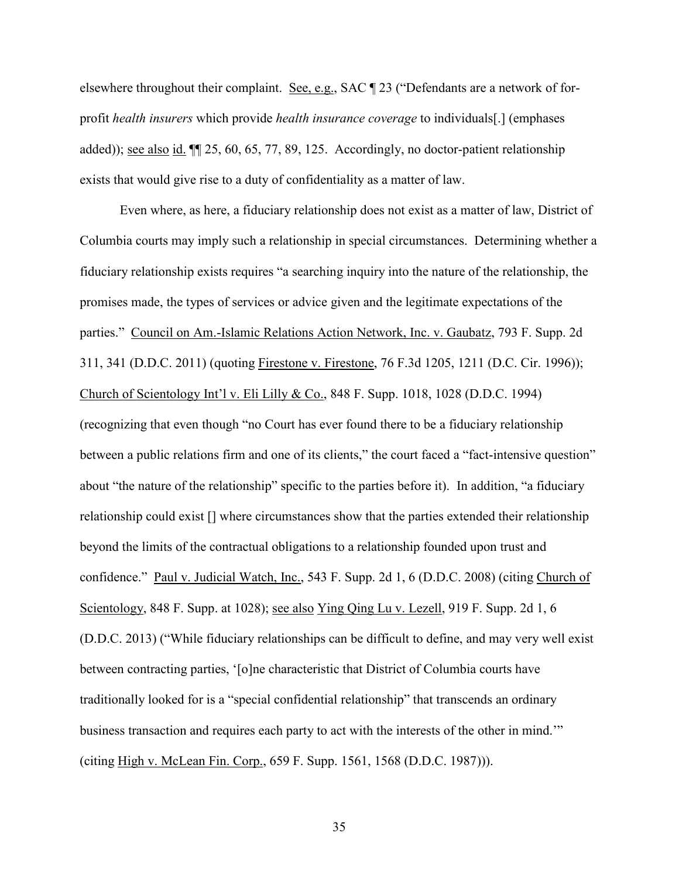elsewhere throughout their complaint. See, e.g., SAC 123 ("Defendants are a network of forprofit *health insurers* which provide *health insurance coverage* to individuals[.] (emphases added)); see also id. ¶¶ 25, 60, 65, 77, 89, 125. Accordingly, no doctor-patient relationship exists that would give rise to a duty of confidentiality as a matter of law.

Even where, as here, a fiduciary relationship does not exist as a matter of law, District of Columbia courts may imply such a relationship in special circumstances. Determining whether a fiduciary relationship exists requires "a searching inquiry into the nature of the relationship, the promises made, the types of services or advice given and the legitimate expectations of the parties." Council on Am.-Islamic Relations Action Network, Inc. v. Gaubatz, 793 F. Supp. 2d 311, 341 (D.D.C. 2011) (quoting Firestone v. Firestone, 76 F.3d 1205, 1211 (D.C. Cir. 1996)); Church of Scientology Int'l v. Eli Lilly & Co., 848 F. Supp. 1018, 1028 (D.D.C. 1994) (recognizing that even though "no Court has ever found there to be a fiduciary relationship between a public relations firm and one of its clients," the court faced a "fact-intensive question" about "the nature of the relationship" specific to the parties before it). In addition, "a fiduciary relationship could exist [] where circumstances show that the parties extended their relationship beyond the limits of the contractual obligations to a relationship founded upon trust and confidence." Paul v. Judicial Watch, Inc., 543 F. Supp. 2d 1, 6 (D.D.C. 2008) (citing Church of Scientology, 848 F. Supp. at 1028); see also Ying Qing Lu v. Lezell, 919 F. Supp. 2d 1, 6 (D.D.C. 2013) ("While fiduciary relationships can be difficult to define, and may very well exist between contracting parties, '[o]ne characteristic that District of Columbia courts have traditionally looked for is a "special confidential relationship" that transcends an ordinary business transaction and requires each party to act with the interests of the other in mind.'" (citing High v. McLean Fin. Corp., 659 F. Supp. 1561, 1568 (D.D.C. 1987))).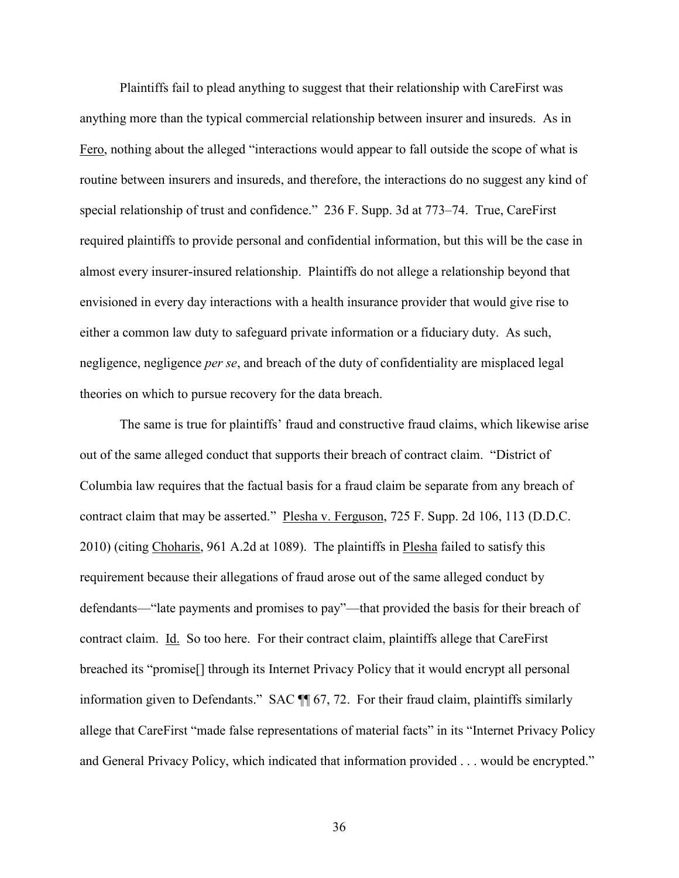Plaintiffs fail to plead anything to suggest that their relationship with CareFirst was anything more than the typical commercial relationship between insurer and insureds. As in Fero, nothing about the alleged "interactions would appear to fall outside the scope of what is routine between insurers and insureds, and therefore, the interactions do no suggest any kind of special relationship of trust and confidence." 236 F. Supp. 3d at 773–74. True, CareFirst required plaintiffs to provide personal and confidential information, but this will be the case in almost every insurer-insured relationship. Plaintiffs do not allege a relationship beyond that envisioned in every day interactions with a health insurance provider that would give rise to either a common law duty to safeguard private information or a fiduciary duty. As such, negligence, negligence *per se*, and breach of the duty of confidentiality are misplaced legal theories on which to pursue recovery for the data breach.

The same is true for plaintiffs' fraud and constructive fraud claims, which likewise arise out of the same alleged conduct that supports their breach of contract claim. "District of Columbia law requires that the factual basis for a fraud claim be separate from any breach of contract claim that may be asserted." Plesha v. Ferguson, 725 F. Supp. 2d 106, 113 (D.D.C. 2010) (citing Choharis, 961 A.2d at 1089). The plaintiffs in Plesha failed to satisfy this requirement because their allegations of fraud arose out of the same alleged conduct by defendants—"late payments and promises to pay"—that provided the basis for their breach of contract claim. Id. So too here. For their contract claim, plaintiffs allege that CareFirst breached its "promise[] through its Internet Privacy Policy that it would encrypt all personal information given to Defendants." SAC ¶ 67, 72. For their fraud claim, plaintiffs similarly allege that CareFirst "made false representations of material facts" in its "Internet Privacy Policy and General Privacy Policy, which indicated that information provided . . . would be encrypted."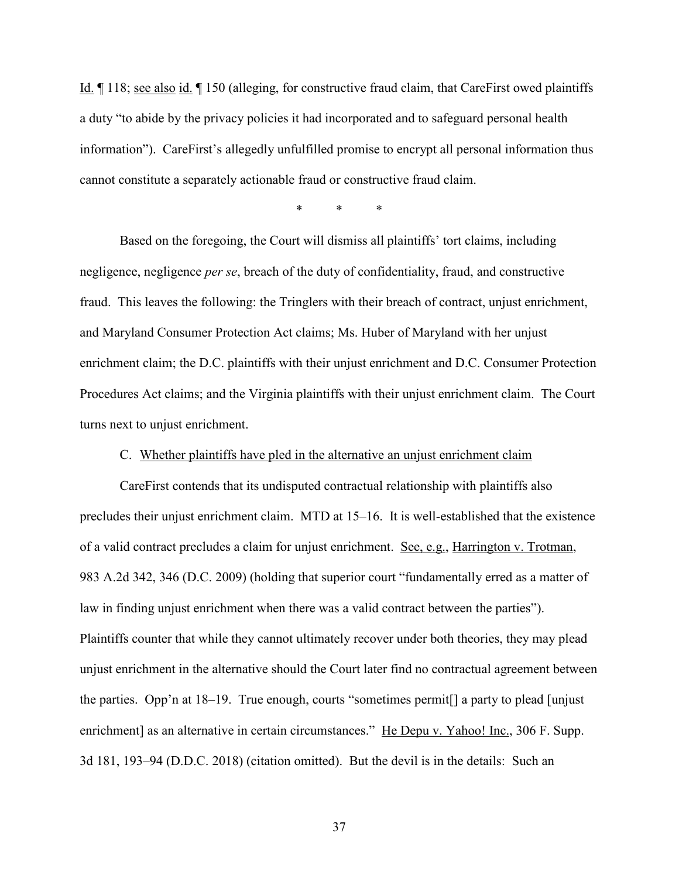Id. ¶ 118; see also id. ¶ 150 (alleging, for constructive fraud claim, that CareFirst owed plaintiffs a duty "to abide by the privacy policies it had incorporated and to safeguard personal health information"). CareFirst's allegedly unfulfilled promise to encrypt all personal information thus cannot constitute a separately actionable fraud or constructive fraud claim.

\* \* \*

Based on the foregoing, the Court will dismiss all plaintiffs' tort claims, including negligence, negligence *per se*, breach of the duty of confidentiality, fraud, and constructive fraud. This leaves the following: the Tringlers with their breach of contract, unjust enrichment, and Maryland Consumer Protection Act claims; Ms. Huber of Maryland with her unjust enrichment claim; the D.C. plaintiffs with their unjust enrichment and D.C. Consumer Protection Procedures Act claims; and the Virginia plaintiffs with their unjust enrichment claim. The Court turns next to unjust enrichment.

## C. Whether plaintiffs have pled in the alternative an unjust enrichment claim

<span id="page-36-0"></span>CareFirst contends that its undisputed contractual relationship with plaintiffs also precludes their unjust enrichment claim. MTD at 15–16. It is well-established that the existence of a valid contract precludes a claim for unjust enrichment. See, e.g., Harrington v. Trotman, 983 A.2d 342, 346 (D.C. 2009) (holding that superior court "fundamentally erred as a matter of law in finding unjust enrichment when there was a valid contract between the parties"). Plaintiffs counter that while they cannot ultimately recover under both theories, they may plead unjust enrichment in the alternative should the Court later find no contractual agreement between the parties. Opp'n at 18–19. True enough, courts "sometimes permit[] a party to plead [unjust enrichment] as an alternative in certain circumstances." He Depu v. Yahoo! Inc., 306 F. Supp. 3d 181, 193–94 (D.D.C. 2018) (citation omitted). But the devil is in the details: Such an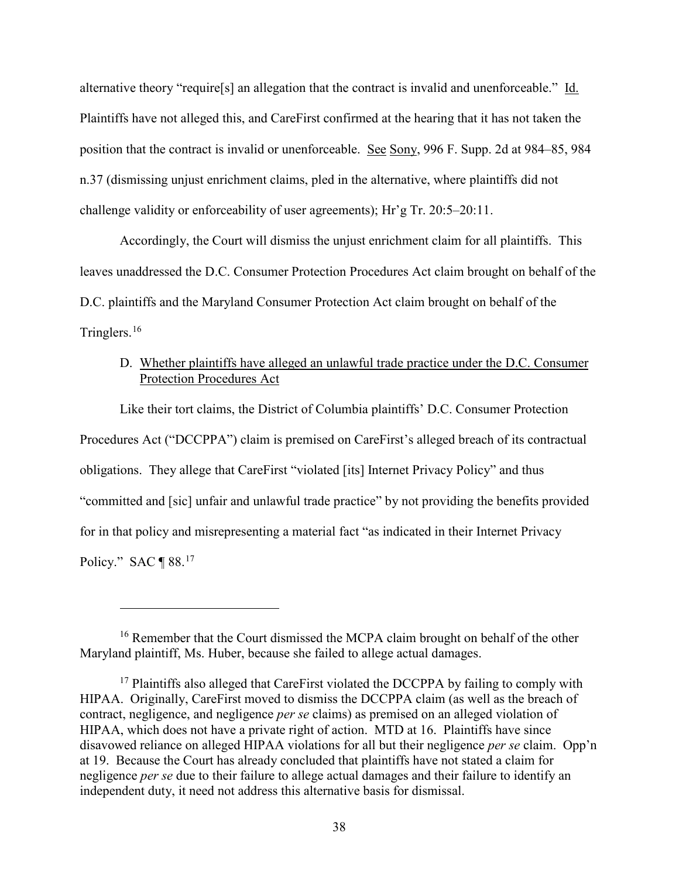alternative theory "require<sup>[s]</sup> an allegation that the contract is invalid and unenforceable." Id. Plaintiffs have not alleged this, and CareFirst confirmed at the hearing that it has not taken the position that the contract is invalid or unenforceable. See Sony, 996 F. Supp. 2d at 984–85, 984 n.37 (dismissing unjust enrichment claims, pled in the alternative, where plaintiffs did not challenge validity or enforceability of user agreements); Hr'g Tr. 20:5–20:11.

Accordingly, the Court will dismiss the unjust enrichment claim for all plaintiffs. This leaves unaddressed the D.C. Consumer Protection Procedures Act claim brought on behalf of the D.C. plaintiffs and the Maryland Consumer Protection Act claim brought on behalf of the Tringlers.[16](#page-37-1)

# <span id="page-37-0"></span>D. Whether plaintiffs have alleged an unlawful trade practice under the D.C. Consumer Protection Procedures Act

Like their tort claims, the District of Columbia plaintiffs' D.C. Consumer Protection Procedures Act ("DCCPPA") claim is premised on CareFirst's alleged breach of its contractual obligations. They allege that CareFirst "violated [its] Internet Privacy Policy" and thus "committed and [sic] unfair and unlawful trade practice" by not providing the benefits provided for in that policy and misrepresenting a material fact "as indicated in their Internet Privacy Policy." SAC  $\P$  88.<sup>[17](#page-37-2)</sup>

<span id="page-37-1"></span><sup>&</sup>lt;sup>16</sup> Remember that the Court dismissed the MCPA claim brought on behalf of the other Maryland plaintiff, Ms. Huber, because she failed to allege actual damages.

<span id="page-37-2"></span> $17$  Plaintiffs also alleged that CareFirst violated the DCCPPA by failing to comply with HIPAA. Originally, CareFirst moved to dismiss the DCCPPA claim (as well as the breach of contract, negligence, and negligence *per se* claims) as premised on an alleged violation of HIPAA, which does not have a private right of action. MTD at 16. Plaintiffs have since disavowed reliance on alleged HIPAA violations for all but their negligence *per se* claim. Opp'n at 19. Because the Court has already concluded that plaintiffs have not stated a claim for negligence *per se* due to their failure to allege actual damages and their failure to identify an independent duty, it need not address this alternative basis for dismissal.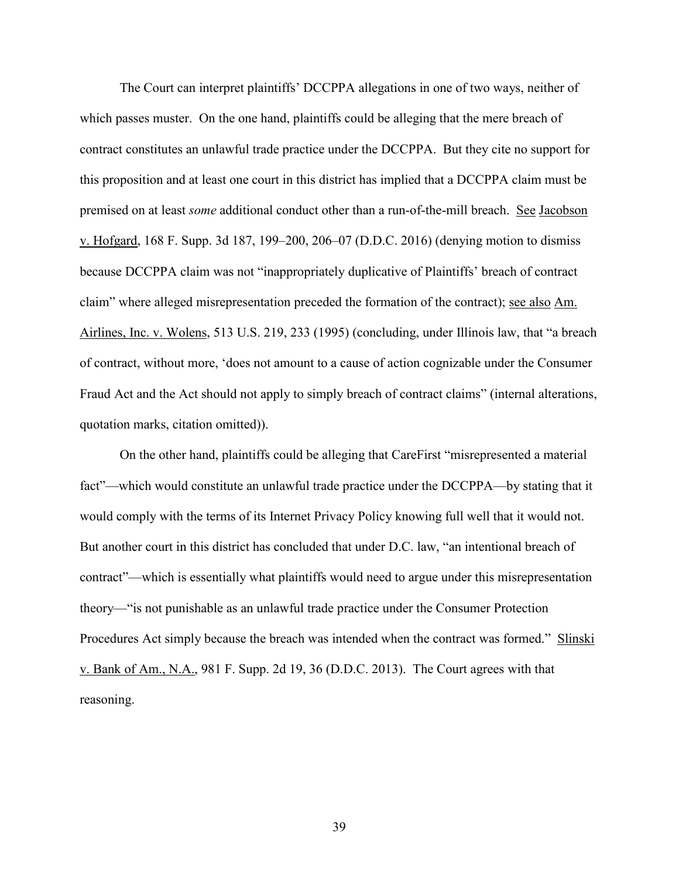The Court can interpret plaintiffs' DCCPPA allegations in one of two ways, neither of which passes muster. On the one hand, plaintiffs could be alleging that the mere breach of contract constitutes an unlawful trade practice under the DCCPPA. But they cite no support for this proposition and at least one court in this district has implied that a DCCPPA claim must be premised on at least *some* additional conduct other than a run-of-the-mill breach. See Jacobson v. Hofgard, 168 F. Supp. 3d 187, 199–200, 206–07 (D.D.C. 2016) (denying motion to dismiss because DCCPPA claim was not "inappropriately duplicative of Plaintiffs' breach of contract claim" where alleged misrepresentation preceded the formation of the contract); see also Am. Airlines, Inc. v. Wolens, 513 U.S. 219, 233 (1995) (concluding, under Illinois law, that "a breach of contract, without more, 'does not amount to a cause of action cognizable under the Consumer Fraud Act and the Act should not apply to simply breach of contract claims" (internal alterations, quotation marks, citation omitted)).

On the other hand, plaintiffs could be alleging that CareFirst "misrepresented a material fact"—which would constitute an unlawful trade practice under the DCCPPA—by stating that it would comply with the terms of its Internet Privacy Policy knowing full well that it would not. But another court in this district has concluded that under D.C. law, "an intentional breach of contract"—which is essentially what plaintiffs would need to argue under this misrepresentation theory—"is not punishable as an unlawful trade practice under the Consumer Protection Procedures Act simply because the breach was intended when the contract was formed." Slinski v. Bank of Am., N.A., 981 F. Supp. 2d 19, 36 (D.D.C. 2013). The Court agrees with that reasoning.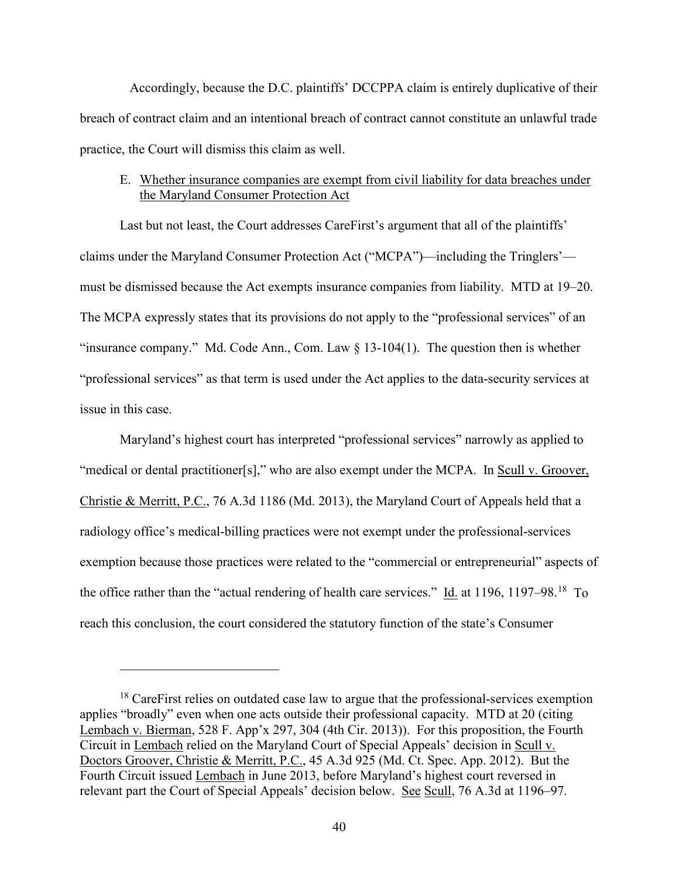Accordingly, because the D.C. plaintiffs' DCCPPA claim is entirely duplicative of their breach of contract claim and an intentional breach of contract cannot constitute an unlawful trade practice, the Court will dismiss this claim as well.

# <span id="page-39-0"></span>E. Whether insurance companies are exempt from civil liability for data breaches under the Maryland Consumer Protection Act

Last but not least, the Court addresses CareFirst's argument that all of the plaintiffs' claims under the Maryland Consumer Protection Act ("MCPA")—including the Tringlers' must be dismissed because the Act exempts insurance companies from liability. MTD at 19–20. The MCPA expressly states that its provisions do not apply to the "professional services" of an "insurance company." Md. Code Ann., Com. Law  $\S 13-104(1)$ . The question then is whether "professional services" as that term is used under the Act applies to the data-security services at issue in this case.

Maryland's highest court has interpreted "professional services" narrowly as applied to "medical or dental practitioner[s]," who are also exempt under the MCPA. In Scull v. Groover, Christie & Merritt, P.C., 76 A.3d 1186 (Md. 2013), the Maryland Court of Appeals held that a radiology office's medical-billing practices were not exempt under the professional-services exemption because those practices were related to the "commercial or entrepreneurial" aspects of the office rather than the "actual rendering of health care services." Id. at 1196, 1197–98.<sup>[18](#page-39-1)</sup> To reach this conclusion, the court considered the statutory function of the state's Consumer

<span id="page-39-1"></span><sup>&</sup>lt;sup>18</sup> CareFirst relies on outdated case law to argue that the professional-services exemption applies "broadly" even when one acts outside their professional capacity. MTD at 20 (citing Lembach v. Bierman, 528 F. App'x 297, 304 (4th Cir. 2013)). For this proposition, the Fourth Circuit in Lembach relied on the Maryland Court of Special Appeals' decision in Scull v. Doctors Groover, Christie & Merritt, P.C., 45 A.3d 925 (Md. Ct. Spec. App. 2012). But the Fourth Circuit issued Lembach in June 2013, before Maryland's highest court reversed in relevant part the Court of Special Appeals' decision below. See Scull, 76 A.3d at 1196–97.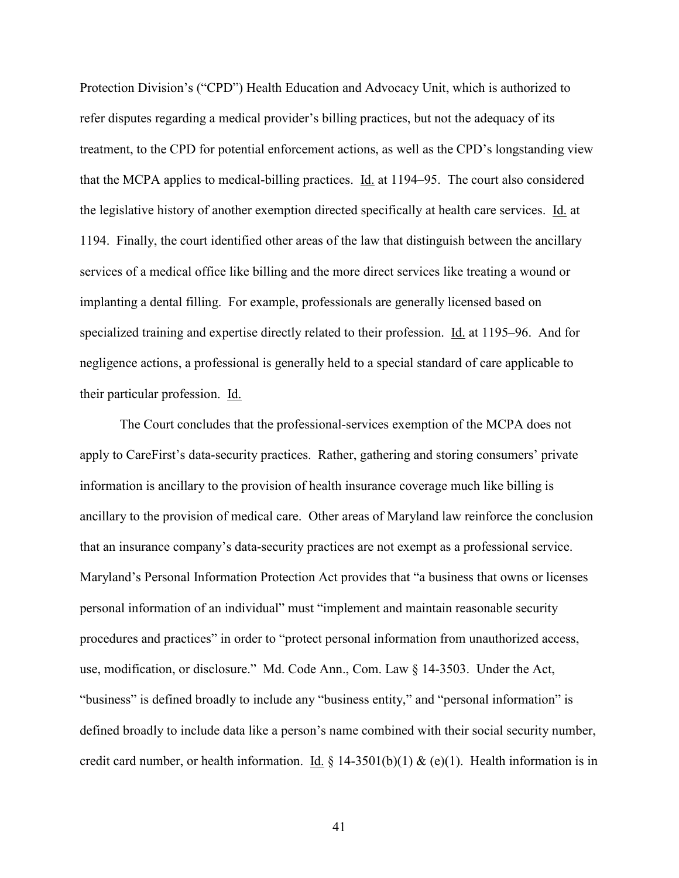Protection Division's ("CPD") Health Education and Advocacy Unit, which is authorized to refer disputes regarding a medical provider's billing practices, but not the adequacy of its treatment, to the CPD for potential enforcement actions, as well as the CPD's longstanding view that the MCPA applies to medical-billing practices. Id. at 1194–95. The court also considered the legislative history of another exemption directed specifically at health care services. Id. at 1194. Finally, the court identified other areas of the law that distinguish between the ancillary services of a medical office like billing and the more direct services like treating a wound or implanting a dental filling. For example, professionals are generally licensed based on specialized training and expertise directly related to their profession. Id. at 1195–96. And for negligence actions, a professional is generally held to a special standard of care applicable to their particular profession. Id.

The Court concludes that the professional-services exemption of the MCPA does not apply to CareFirst's data-security practices. Rather, gathering and storing consumers' private information is ancillary to the provision of health insurance coverage much like billing is ancillary to the provision of medical care. Other areas of Maryland law reinforce the conclusion that an insurance company's data-security practices are not exempt as a professional service. Maryland's Personal Information Protection Act provides that "a business that owns or licenses personal information of an individual" must "implement and maintain reasonable security procedures and practices" in order to "protect personal information from unauthorized access, use, modification, or disclosure." Md. Code Ann., Com. Law § 14-3503. Under the Act, "business" is defined broadly to include any "business entity," and "personal information" is defined broadly to include data like a person's name combined with their social security number, credit card number, or health information. <u>Id.</u> § 14-3501(b)(1) & (e)(1). Health information is in